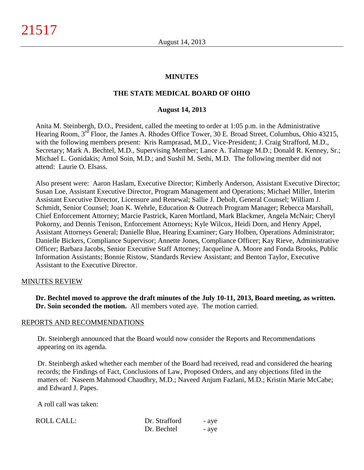#### **MINUTES**

#### **THE STATE MEDICAL BOARD OF OHIO**

#### **August 14, 2013**

Anita M. Steinbergh, D.O., President, called the meeting to order at 1:05 p.m. in the Administrative Hearing Room, 3<sup>rd</sup> Floor, the James A. Rhodes Office Tower, 30 E. Broad Street, Columbus, Ohio 43215, with the following members present: Kris Ramprasad, M.D., Vice-President; J. Craig Strafford, M.D., Secretary; Mark A. Bechtel, M.D., Supervising Member; Lance A. Talmage M.D.; Donald R. Kenney, Sr.; Michael L. Gonidakis; Amol Soin, M.D.; and Sushil M. Sethi, M.D. The following member did not attend: Laurie O. Elsass.

Also present were: Aaron Haslam, Executive Director; Kimberly Anderson, Assistant Executive Director; Susan Loe, Assistant Executive Director, Program Management and Operations; Michael Miller, Interim Assistant Executive Director, Licensure and Renewal; Sallie J. Debolt, General Counsel; William J. Schmidt, Senior Counsel; Joan K. Wehrle, Education & Outreach Program Manager; Rebecca Marshall, Chief Enforcement Attorney; Marcie Pastrick, Karen Mortland, Mark Blackmer, Angela McNair; Cheryl Pokorny, and Dennis Tenison, Enforcement Attorneys; Kyle Wilcox, Heidi Dorn, and Henry Appel, Assistant Attorneys General; Danielle Blue, Hearing Examiner; Gary Holben, Operations Administrator; Danielle Bickers, Compliance Supervisor; Annette Jones, Compliance Officer; Kay Rieve, Administrative Officer; Barbara Jacobs, Senior Executive Staff Attorney; Jacqueline A. Moore and Fonda Brooks, Public Information Assistants; Bonnie Ristow, Standards Review Assistant; and Benton Taylor, Executive Assistant to the Executive Director.

#### MINUTES REVIEW

**Dr. Bechtel moved to approve the draft minutes of the July 10-11, 2013, Board meeting, as written. Dr. Soin seconded the motion.** All members voted aye. The motion carried.

#### REPORTS AND RECOMMENDATIONS

Dr. Steinbergh announced that the Board would now consider the Reports and Recommendations appearing on its agenda.

Dr. Steinbergh asked whether each member of the Board had received, read and considered the hearing records; the Findings of Fact, Conclusions of Law, Proposed Orders, and any objections filed in the matters of: Naseem Mahmood Chaudhry, M.D.; Naveed Anjum Fazlani, M.D.; Kristin Marie McCabe; and Edward J. Papes.

A roll call was taken:

| <b>ROLL CALL:</b> | Dr. Strafford | - aye |
|-------------------|---------------|-------|
|                   | Dr. Bechtel   | - ave |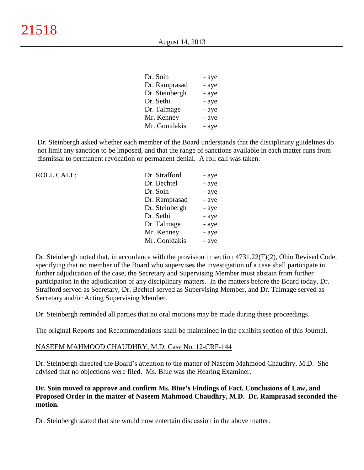| Dr. Soin       | - aye |
|----------------|-------|
| Dr. Ramprasad  | - aye |
| Dr. Steinbergh | - aye |
| Dr. Sethi      | - aye |
| Dr. Talmage    | - aye |
| Mr. Kenney     | - aye |
| Mr. Gonidakis  | - aye |
|                |       |

Dr. Steinbergh asked whether each member of the Board understands that the disciplinary guidelines do not limit any sanction to be imposed, and that the range of sanctions available in each matter runs from dismissal to permanent revocation or permanent denial. A roll call was taken:

| <b>ROLL CALL:</b> | Dr. Strafford  | - aye |
|-------------------|----------------|-------|
|                   | Dr. Bechtel    | - aye |
|                   | Dr. Soin       | - aye |
|                   | Dr. Ramprasad  | - aye |
|                   | Dr. Steinbergh | - aye |
|                   | Dr. Sethi      | - aye |
|                   | Dr. Talmage    | - aye |
|                   | Mr. Kenney     | - aye |
|                   | Mr. Gonidakis  | - aye |
|                   |                |       |

Dr. Steinbergh noted that, in accordance with the provision in section 4731.22(F)(2), Ohio Revised Code, specifying that no member of the Board who supervises the investigation of a case shall participate in further adjudication of the case, the Secretary and Supervising Member must abstain from further participation in the adjudication of any disciplinary matters. In the matters before the Board today, Dr. Strafford served as Secretary, Dr. Bechtel served as Supervising Member, and Dr. Talmage served as Secretary and/or Acting Supervising Member.

Dr. Steinbergh reminded all parties that no oral motions may be made during these proceedings.

The original Reports and Recommendations shall be maintained in the exhibits section of this Journal.

#### NASEEM MAHMOOD CHAUDHRY, M.D. Case No. 12-CRF-144

Dr. Steinbergh directed the Board's attention to the matter of Naseem Mahmood Chaudhry, M.D. She advised that no objections were filed. Ms. Blue was the Hearing Examiner.

# **Dr. Soin moved to approve and confirm Ms. Blue's Findings of Fact, Conclusions of Law, and Proposed Order in the matter of Naseem Mahmood Chaudhry, M.D. Dr. Ramprasad seconded the motion.**

Dr. Steinbergh stated that she would now entertain discussion in the above matter.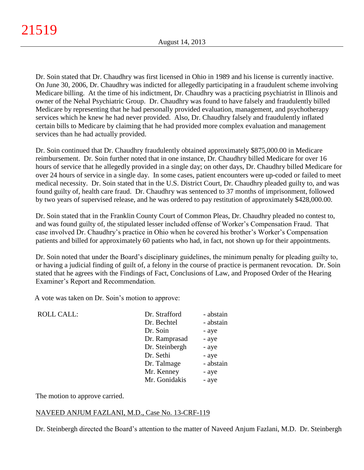Dr. Soin stated that Dr. Chaudhry was first licensed in Ohio in 1989 and his license is currently inactive. On June 30, 2006, Dr. Chaudhry was indicted for allegedly participating in a fraudulent scheme involving Medicare billing. At the time of his indictment, Dr. Chaudhry was a practicing psychiatrist in Illinois and owner of the Nehal Psychiatric Group. Dr. Chaudhry was found to have falsely and fraudulently billed Medicare by representing that he had personally provided evaluation, management, and psychotherapy services which he knew he had never provided. Also, Dr. Chaudhry falsely and fraudulently inflated certain bills to Medicare by claiming that he had provided more complex evaluation and management services than he had actually provided.

Dr. Soin continued that Dr. Chaudhry fraudulently obtained approximately \$875,000.00 in Medicare reimbursement. Dr. Soin further noted that in one instance, Dr. Chaudhry billed Medicare for over 16 hours of service that he allegedly provided in a single day; on other days, Dr. Chaudhry billed Medicare for over 24 hours of service in a single day. In some cases, patient encounters were up-coded or failed to meet medical necessity. Dr. Soin stated that in the U.S. District Court, Dr. Chaudhry pleaded guilty to, and was found guilty of, health care fraud. Dr. Chaudhry was sentenced to 37 months of imprisonment, followed by two years of supervised release, and he was ordered to pay restitution of approximately \$428,000.00.

Dr. Soin stated that in the Franklin County Court of Common Pleas, Dr. Chaudhry pleaded no contest to, and was found guilty of, the stipulated lesser included offense of Worker's Compensation Fraud. That case involved Dr. Chaudhry's practice in Ohio when he covered his brother's Worker's Compensation patients and billed for approximately 60 patients who had, in fact, not shown up for their appointments.

Dr. Soin noted that under the Board's disciplinary guidelines, the minimum penalty for pleading guilty to, or having a judicial finding of guilt of, a felony in the course of practice is permanent revocation. Dr. Soin stated that he agrees with the Findings of Fact, Conclusions of Law, and Proposed Order of the Hearing Examiner's Report and Recommendation.

A vote was taken on Dr. Soin's motion to approve:

| <b>ROLL CALL:</b> | Dr. Strafford  | - abstain |
|-------------------|----------------|-----------|
|                   | Dr. Bechtel    | - abstain |
|                   | Dr. Soin       | - aye     |
|                   | Dr. Ramprasad  | - aye     |
|                   | Dr. Steinbergh | - aye     |
|                   | Dr. Sethi      | - aye     |
|                   | Dr. Talmage    | - abstain |
|                   | Mr. Kenney     | - aye     |
|                   | Mr. Gonidakis  | - aye     |
|                   |                |           |

The motion to approve carried.

#### NAVEED ANJUM FAZLANI, M.D., Case No. 13-CRF-119

Dr. Steinbergh directed the Board's attention to the matter of Naveed Anjum Fazlani, M.D. Dr. Steinbergh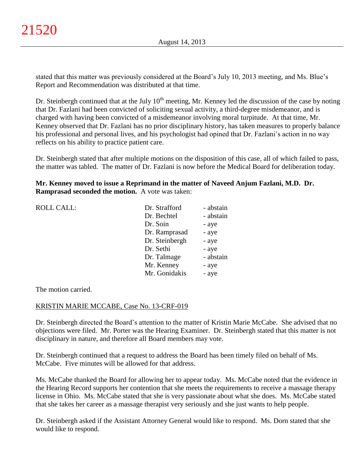stated that this matter was previously considered at the Board's July 10, 2013 meeting, and Ms. Blue's Report and Recommendation was distributed at that time.

Dr. Steinbergh continued that at the July  $10<sup>th</sup>$  meeting, Mr. Kenney led the discussion of the case by noting that Dr. Fazlani had been convicted of soliciting sexual activity, a third-degree misdemeanor, and is charged with having been convicted of a misdemeanor involving moral turpitude. At that time, Mr. Kenney observed that Dr. Fazlani has no prior disciplinary history, has taken measures to properly balance his professional and personal lives, and his psychologist had opined that Dr. Fazlani's action in no way reflects on his ability to practice patient care.

Dr. Steinbergh stated that after multiple motions on the disposition of this case, all of which failed to pass, the matter was tabled. The matter of Dr. Fazlani is now before the Medical Board for deliberation today.

**Mr. Kenney moved to issue a Reprimand in the matter of Naveed Anjum Fazlani, M.D. Dr. Ramprasad seconded the motion.** A vote was taken:

| <b>ROLL CALL:</b> | Dr. Strafford  | - abstain |
|-------------------|----------------|-----------|
|                   | Dr. Bechtel    | - abstain |
|                   | Dr. Soin       | - aye     |
|                   | Dr. Ramprasad  | - aye     |
|                   | Dr. Steinbergh | - aye     |
|                   | Dr. Sethi      | - aye     |
|                   | Dr. Talmage    | - abstain |
|                   | Mr. Kenney     | - aye     |
|                   | Mr. Gonidakis  | - aye     |
|                   |                |           |

The motion carried.

#### KRISTIN MARIE MCCABE, Case No. 13-CRF-019

Dr. Steinbergh directed the Board's attention to the matter of Kristin Marie McCabe. She advised that no objections were filed. Mr. Porter was the Hearing Examiner. Dr. Steinbergh stated that this matter is not disciplinary in nature, and therefore all Board members may vote.

Dr. Steinbergh continued that a request to address the Board has been timely filed on behalf of Ms. McCabe. Five minutes will be allowed for that address.

Ms. McCabe thanked the Board for allowing her to appear today. Ms. McCabe noted that the evidence in the Hearing Record supports her contention that she meets the requirements to receive a massage therapy license in Ohio. Ms. McCabe stated that she is very passionate about what she does. Ms. McCabe stated that she takes her career as a massage therapist very seriously and she just wants to help people.

Dr. Steinbergh asked if the Assistant Attorney General would like to respond. Ms. Dorn stated that she would like to respond.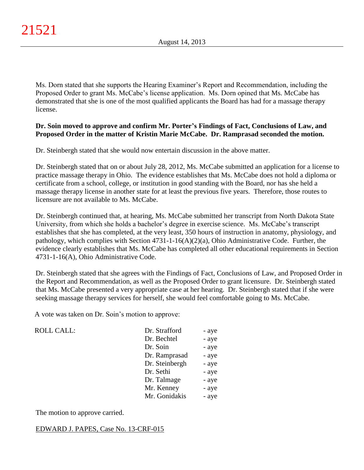Ms. Dorn stated that she supports the Hearing Examiner's Report and Recommendation, including the Proposed Order to grant Ms. McCabe's license application. Ms. Dorn opined that Ms. McCabe has demonstrated that she is one of the most qualified applicants the Board has had for a massage therapy license.

# **Dr. Soin moved to approve and confirm Mr. Porter's Findings of Fact, Conclusions of Law, and Proposed Order in the matter of Kristin Marie McCabe. Dr. Ramprasad seconded the motion.**

Dr. Steinbergh stated that she would now entertain discussion in the above matter.

Dr. Steinbergh stated that on or about July 28, 2012, Ms. McCabe submitted an application for a license to practice massage therapy in Ohio. The evidence establishes that Ms. McCabe does not hold a diploma or certificate from a school, college, or institution in good standing with the Board, nor has she held a massage therapy license in another state for at least the previous five years. Therefore, those routes to licensure are not available to Ms. McCabe.

Dr. Steinbergh continued that, at hearing, Ms. McCabe submitted her transcript from North Dakota State University, from which she holds a bachelor's degree in exercise science. Ms. McCabe's transcript establishes that she has completed, at the very least, 350 hours of instruction in anatomy, physiology, and pathology, which complies with Section 4731-1-16(A)(2)(a), Ohio Administrative Code. Further, the evidence clearly establishes that Ms. McCabe has completed all other educational requirements in Section 4731-1-16(A), Ohio Administrative Code.

Dr. Steinbergh stated that she agrees with the Findings of Fact, Conclusions of Law, and Proposed Order in the Report and Recommendation, as well as the Proposed Order to grant licensure. Dr. Steinbergh stated that Ms. McCabe presented a very appropriate case at her hearing. Dr. Steinbergh stated that if she were seeking massage therapy services for herself, she would feel comfortable going to Ms. McCabe.

A vote was taken on Dr. Soin's motion to approve:

| ROLL CALL: | Dr. Strafford  | - aye |
|------------|----------------|-------|
|            | Dr. Bechtel    | - aye |
|            | Dr. Soin       | - aye |
|            | Dr. Ramprasad  | - aye |
|            | Dr. Steinbergh | - aye |
|            | Dr. Sethi      | - aye |
|            | Dr. Talmage    | - aye |
|            | Mr. Kenney     | - aye |
|            | Mr. Gonidakis  | - aye |
|            |                |       |

The motion to approve carried.

#### EDWARD J. PAPES, Case No. 13-CRF-015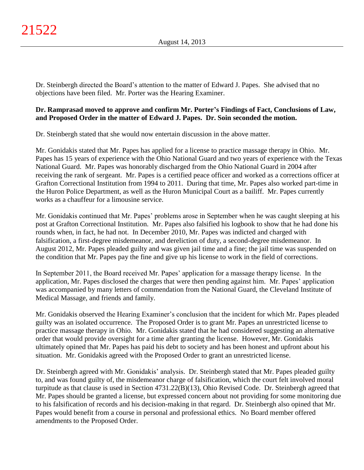Dr. Steinbergh directed the Board's attention to the matter of Edward J. Papes. She advised that no objections have been filed. Mr. Porter was the Hearing Examiner.

# **Dr. Ramprasad moved to approve and confirm Mr. Porter's Findings of Fact, Conclusions of Law, and Proposed Order in the matter of Edward J. Papes. Dr. Soin seconded the motion.**

Dr. Steinbergh stated that she would now entertain discussion in the above matter.

Mr. Gonidakis stated that Mr. Papes has applied for a license to practice massage therapy in Ohio. Mr. Papes has 15 years of experience with the Ohio National Guard and two years of experience with the Texas National Guard. Mr. Papes was honorably discharged from the Ohio National Guard in 2004 after receiving the rank of sergeant. Mr. Papes is a certified peace officer and worked as a corrections officer at Grafton Correctional Institution from 1994 to 2011. During that time, Mr. Papes also worked part-time in the Huron Police Department, as well as the Huron Municipal Court as a bailiff. Mr. Papes currently works as a chauffeur for a limousine service.

Mr. Gonidakis continued that Mr. Papes' problems arose in September when he was caught sleeping at his post at Grafton Correctional Institution. Mr. Papes also falsified his logbook to show that he had done his rounds when, in fact, he had not. In December 2010, Mr. Papes was indicted and charged with falsification, a first-degree misdemeanor, and dereliction of duty, a second-degree misdemeanor. In August 2012, Mr. Papes pleaded guilty and was given jail time and a fine; the jail time was suspended on the condition that Mr. Papes pay the fine and give up his license to work in the field of corrections.

In September 2011, the Board received Mr. Papes' application for a massage therapy license. In the application, Mr. Papes disclosed the charges that were then pending against him. Mr. Papes' application was accompanied by many letters of commendation from the National Guard, the Cleveland Institute of Medical Massage, and friends and family.

Mr. Gonidakis observed the Hearing Examiner's conclusion that the incident for which Mr. Papes pleaded guilty was an isolated occurrence. The Proposed Order is to grant Mr. Papes an unrestricted license to practice massage therapy in Ohio. Mr. Gonidakis stated that he had considered suggesting an alternative order that would provide oversight for a time after granting the license. However, Mr. Gonidakis ultimately opined that Mr. Papes has paid his debt to society and has been honest and upfront about his situation. Mr. Gonidakis agreed with the Proposed Order to grant an unrestricted license.

Dr. Steinbergh agreed with Mr. Gonidakis' analysis. Dr. Steinbergh stated that Mr. Papes pleaded guilty to, and was found guilty of, the misdemeanor charge of falsification, which the court felt involved moral turpitude as that clause is used in Section 4731.22(B)(13), Ohio Revised Code. Dr. Steinbergh agreed that Mr. Papes should be granted a license, but expressed concern about not providing for some monitoring due to his falsification of records and his decision-making in that regard. Dr. Steinbergh also opined that Mr. Papes would benefit from a course in personal and professional ethics. No Board member offered amendments to the Proposed Order.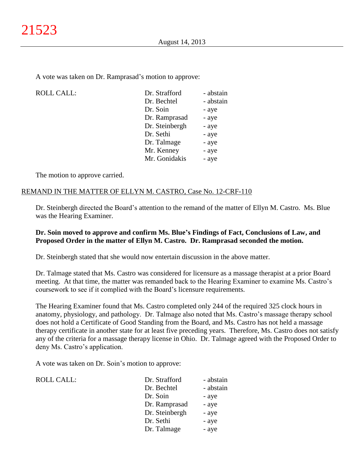A vote was taken on Dr. Ramprasad's motion to approve:

| <b>ROLL CALL:</b> | Dr. Strafford  | - abstain |
|-------------------|----------------|-----------|
|                   | Dr. Bechtel    | - abstain |
|                   | Dr. Soin       | - aye     |
|                   | Dr. Ramprasad  | - aye     |
|                   | Dr. Steinbergh | - aye     |
|                   | Dr. Sethi      | - aye     |
|                   | Dr. Talmage    | - aye     |
|                   | Mr. Kenney     | - aye     |
|                   | Mr. Gonidakis  | - aye     |
|                   |                |           |

The motion to approve carried.

# REMAND IN THE MATTER OF ELLYN M. CASTRO, Case No. 12-CRF-110

Dr. Steinbergh directed the Board's attention to the remand of the matter of Ellyn M. Castro. Ms. Blue was the Hearing Examiner.

#### **Dr. Soin moved to approve and confirm Ms. Blue's Findings of Fact, Conclusions of Law, and Proposed Order in the matter of Ellyn M. Castro. Dr. Ramprasad seconded the motion.**

Dr. Steinbergh stated that she would now entertain discussion in the above matter.

Dr. Talmage stated that Ms. Castro was considered for licensure as a massage therapist at a prior Board meeting. At that time, the matter was remanded back to the Hearing Examiner to examine Ms. Castro's coursework to see if it complied with the Board's licensure requirements.

The Hearing Examiner found that Ms. Castro completed only 244 of the required 325 clock hours in anatomy, physiology, and pathology. Dr. Talmage also noted that Ms. Castro's massage therapy school does not hold a Certificate of Good Standing from the Board, and Ms. Castro has not held a massage therapy certificate in another state for at least five preceding years. Therefore, Ms. Castro does not satisfy any of the criteria for a massage therapy license in Ohio. Dr. Talmage agreed with the Proposed Order to deny Ms. Castro's application.

A vote was taken on Dr. Soin's motion to approve:

ROLL CALL:

| - abstain |
|-----------|
| - abstain |
| - aye     |
| - aye     |
| - aye     |
| - aye     |
| - aye     |
|           |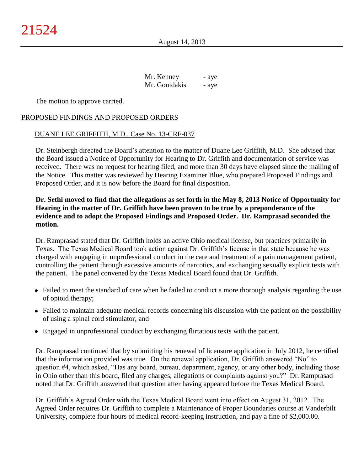| Mr. Kenney    | - aye |
|---------------|-------|
| Mr. Gonidakis | - aye |

The motion to approve carried.

#### PROPOSED FINDINGS AND PROPOSED ORDERS

#### DUANE LEE GRIFFITH, M.D., Case No. 13-CRF-037

Dr. Steinbergh directed the Board's attention to the matter of Duane Lee Griffith, M.D. She advised that the Board issued a Notice of Opportunity for Hearing to Dr. Griffith and documentation of service was received. There was no request for hearing filed, and more than 30 days have elapsed since the mailing of the Notice. This matter was reviewed by Hearing Examiner Blue, who prepared Proposed Findings and Proposed Order, and it is now before the Board for final disposition.

# **Dr. Sethi moved to find that the allegations as set forth in the May 8, 2013 Notice of Opportunity for Hearing in the matter of Dr. Griffith have been proven to be true by a preponderance of the evidence and to adopt the Proposed Findings and Proposed Order. Dr. Ramprasad seconded the motion.**

Dr. Ramprasad stated that Dr. Griffith holds an active Ohio medical license, but practices primarily in Texas. The Texas Medical Board took action against Dr. Griffith's license in that state because he was charged with engaging in unprofessional conduct in the care and treatment of a pain management patient, controlling the patient through excessive amounts of narcotics, and exchanging sexually explicit texts with the patient. The panel convened by the Texas Medical Board found that Dr. Griffith.

- Failed to meet the standard of care when he failed to conduct a more thorough analysis regarding the use of opioid therapy;
- Failed to maintain adequate medical records concerning his discussion with the patient on the possibility of using a spinal cord stimulator; and
- Engaged in unprofessional conduct by exchanging flirtatious texts with the patient.

Dr. Ramprasad continued that by submitting his renewal of licensure application in July 2012, he certified that the information provided was true. On the renewal application, Dr. Griffith answered "No" to question #4, which asked, "Has any board, bureau, department, agency, or any other body, including those in Ohio other than this board, filed any charges, allegations or complaints against you?" Dr. Ramprasad noted that Dr. Griffith answered that question after having appeared before the Texas Medical Board.

Dr. Griffith's Agreed Order with the Texas Medical Board went into effect on August 31, 2012. The Agreed Order requires Dr. Griffith to complete a Maintenance of Proper Boundaries course at Vanderbilt University, complete four hours of medical record-keeping instruction, and pay a fine of \$2,000.00.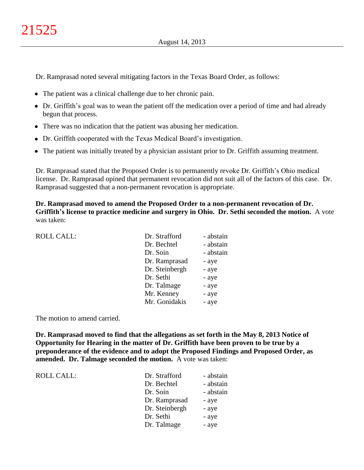Dr. Ramprasad noted several mitigating factors in the Texas Board Order, as follows:

- The patient was a clinical challenge due to her chronic pain.
- Dr. Griffith's goal was to wean the patient off the medication over a period of time and had already begun that process.
- There was no indication that the patient was abusing her medication.
- Dr. Griffith cooperated with the Texas Medical Board's investigation.
- The patient was initially treated by a physician assistant prior to Dr. Griffith assuming treatment.

Dr. Ramprasad stated that the Proposed Order is to permanently revoke Dr. Griffith's Ohio medical license. Dr. Ramprasad opined that permanent revocation did not suit all of the factors of this case. Dr. Ramprasad suggested that a non-permanent revocation is appropriate.

**Dr. Ramprasad moved to amend the Proposed Order to a non-permanent revocation of Dr. Griffith's license to practice medicine and surgery in Ohio. Dr. Sethi seconded the motion.** A vote was taken:

| <b>ROLL CALL:</b> | Dr. Strafford  | - abstain |
|-------------------|----------------|-----------|
|                   | Dr. Bechtel    | - abstain |
|                   | Dr. Soin       | - abstain |
|                   | Dr. Ramprasad  | - aye     |
|                   | Dr. Steinbergh | - aye     |
|                   | Dr. Sethi      | - aye     |
|                   | Dr. Talmage    | - aye     |
|                   | Mr. Kenney     | - aye     |
|                   | Mr. Gonidakis  | - aye     |
|                   |                |           |

The motion to amend carried.

**Dr. Ramprasad moved to find that the allegations as set forth in the May 8, 2013 Notice of Opportunity for Hearing in the matter of Dr. Griffith have been proven to be true by a preponderance of the evidence and to adopt the Proposed Findings and Proposed Order, as amended. Dr. Talmage seconded the motion.** A vote was taken:

ROLL CALL: T

| Dr. Strafford  | - abstain |
|----------------|-----------|
| Dr. Bechtel    | - abstain |
| Dr. Soin       | - abstain |
| Dr. Ramprasad  | - aye     |
| Dr. Steinbergh | - aye     |
| Dr. Sethi      | - aye     |
| Dr. Talmage    | - aye     |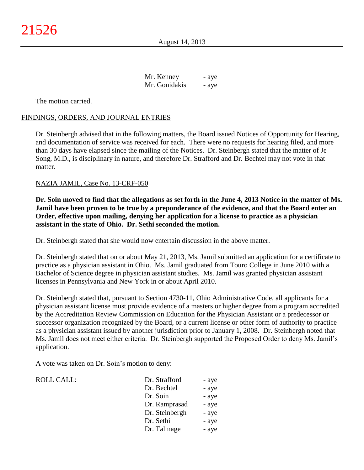| Mr. Kenney    | - aye |
|---------------|-------|
| Mr. Gonidakis | - aye |

The motion carried.

#### FINDINGS, ORDERS, AND JOURNAL ENTRIES

Dr. Steinbergh advised that in the following matters, the Board issued Notices of Opportunity for Hearing, and documentation of service was received for each. There were no requests for hearing filed, and more than 30 days have elapsed since the mailing of the Notices. Dr. Steinbergh stated that the matter of Je Song, M.D., is disciplinary in nature, and therefore Dr. Strafford and Dr. Bechtel may not vote in that matter.

#### NAZIA JAMIL, Case No. 13-CRF-050

**Dr. Soin moved to find that the allegations as set forth in the June 4, 2013 Notice in the matter of Ms. Jamil have been proven to be true by a preponderance of the evidence, and that the Board enter an Order, effective upon mailing, denying her application for a license to practice as a physician assistant in the state of Ohio. Dr. Sethi seconded the motion.**

Dr. Steinbergh stated that she would now entertain discussion in the above matter.

Dr. Steinbergh stated that on or about May 21, 2013, Ms. Jamil submitted an application for a certificate to practice as a physician assistant in Ohio. Ms. Jamil graduated from Touro College in June 2010 with a Bachelor of Science degree in physician assistant studies. Ms. Jamil was granted physician assistant licenses in Pennsylvania and New York in or about April 2010.

Dr. Steinbergh stated that, pursuant to Section 4730-11, Ohio Administrative Code, all applicants for a physician assistant license must provide evidence of a masters or higher degree from a program accredited by the Accreditation Review Commission on Education for the Physician Assistant or a predecessor or successor organization recognized by the Board, or a current license or other form of authority to practice as a physician assistant issued by another jurisdiction prior to January 1, 2008. Dr. Steinbergh noted that Ms. Jamil does not meet either criteria. Dr. Steinbergh supported the Proposed Order to deny Ms. Jamil's application.

A vote was taken on Dr. Soin's motion to deny:

| ROLL CALL: | Dr. Strafford  | - aye |
|------------|----------------|-------|
|            | Dr. Bechtel    | - aye |
|            | Dr. Soin       | - aye |
|            | Dr. Ramprasad  | - aye |
|            | Dr. Steinbergh | - aye |
|            | Dr. Sethi      | - aye |
|            | Dr. Talmage    | - aye |
|            |                |       |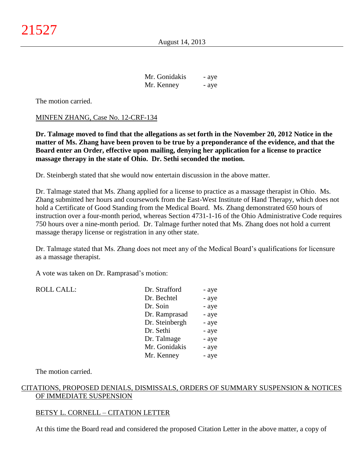| Mr. Gonidakis | - aye |
|---------------|-------|
| Mr. Kenney    | - aye |

The motion carried.

#### MINFEN ZHANG, Case No. 12-CRF-134

**Dr. Talmage moved to find that the allegations as set forth in the November 20, 2012 Notice in the matter of Ms. Zhang have been proven to be true by a preponderance of the evidence, and that the Board enter an Order, effective upon mailing, denying her application for a license to practice massage therapy in the state of Ohio. Dr. Sethi seconded the motion.**

Dr. Steinbergh stated that she would now entertain discussion in the above matter.

Dr. Talmage stated that Ms. Zhang applied for a license to practice as a massage therapist in Ohio. Ms. Zhang submitted her hours and coursework from the East-West Institute of Hand Therapy, which does not hold a Certificate of Good Standing from the Medical Board. Ms. Zhang demonstrated 650 hours of instruction over a four-month period, whereas Section 4731-1-16 of the Ohio Administrative Code requires 750 hours over a nine-month period. Dr. Talmage further noted that Ms. Zhang does not hold a current massage therapy license or registration in any other state.

Dr. Talmage stated that Ms. Zhang does not meet any of the Medical Board's qualifications for licensure as a massage therapist.

A vote was taken on Dr. Ramprasad's motion:

| <b>ROLL CALL:</b> | Dr. Strafford  | - aye |
|-------------------|----------------|-------|
|                   | Dr. Bechtel    | - aye |
|                   | Dr. Soin       | - aye |
|                   | Dr. Ramprasad  | - aye |
|                   | Dr. Steinbergh | - aye |
|                   | Dr. Sethi      | - aye |
|                   | Dr. Talmage    | - aye |
|                   | Mr. Gonidakis  | - aye |
|                   | Mr. Kenney     | - aye |
|                   |                |       |

The motion carried.

# CITATIONS, PROPOSED DENIALS, DISMISSALS, ORDERS OF SUMMARY SUSPENSION & NOTICES OF IMMEDIATE SUSPENSION

#### BETSY L. CORNELL – CITATION LETTER

At this time the Board read and considered the proposed Citation Letter in the above matter, a copy of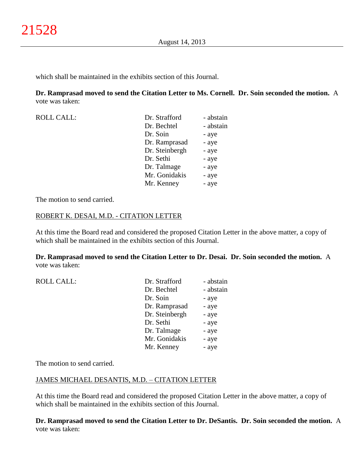which shall be maintained in the exhibits section of this Journal.

**Dr. Ramprasad moved to send the Citation Letter to Ms. Cornell. Dr. Soin seconded the motion.** A vote was taken:

| Dr. Strafford  | - abstain |
|----------------|-----------|
| Dr. Bechtel    | - abstain |
| Dr. Soin       | - aye     |
| Dr. Ramprasad  | - aye     |
| Dr. Steinbergh | - aye     |
| Dr. Sethi      | - aye     |
| Dr. Talmage    | - aye     |
| Mr. Gonidakis  | - aye     |
| Mr. Kenney     | - aye     |
|                |           |

The motion to send carried.

#### ROBERT K. DESAI, M.D. - CITATION LETTER

At this time the Board read and considered the proposed Citation Letter in the above matter, a copy of which shall be maintained in the exhibits section of this Journal.

**Dr. Ramprasad moved to send the Citation Letter to Dr. Desai. Dr. Soin seconded the motion.** A vote was taken:

| <b>ROLL CALL:</b> | Dr. Strafford  | - abstain |
|-------------------|----------------|-----------|
|                   | Dr. Bechtel    | - abstain |
|                   | Dr. Soin       | - aye     |
|                   | Dr. Ramprasad  | - aye     |
|                   | Dr. Steinbergh | - aye     |
|                   | Dr. Sethi      | - aye     |
|                   | Dr. Talmage    | - aye     |
|                   | Mr. Gonidakis  | - aye     |
|                   | Mr. Kenney     | - aye     |
|                   |                |           |

The motion to send carried.

#### JAMES MICHAEL DESANTIS, M.D. – CITATION LETTER

At this time the Board read and considered the proposed Citation Letter in the above matter, a copy of which shall be maintained in the exhibits section of this Journal.

**Dr. Ramprasad moved to send the Citation Letter to Dr. DeSantis. Dr. Soin seconded the motion.** A vote was taken: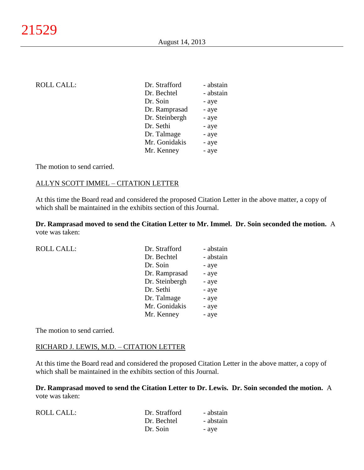| <b>ROLL CALL:</b> | Dr. Strafford  | - abstain |
|-------------------|----------------|-----------|
|                   | Dr. Bechtel    | - abstain |
|                   | Dr. Soin       | - aye     |
|                   | Dr. Ramprasad  | - aye     |
|                   | Dr. Steinbergh | - aye     |
|                   | Dr. Sethi      | - aye     |
|                   | Dr. Talmage    | - aye     |
|                   | Mr. Gonidakis  | - aye     |
|                   | Mr. Kenney     | - aye     |
|                   |                |           |

The motion to send carried.

#### ALLYN SCOTT IMMEL – CITATION LETTER

At this time the Board read and considered the proposed Citation Letter in the above matter, a copy of which shall be maintained in the exhibits section of this Journal.

**Dr. Ramprasad moved to send the Citation Letter to Mr. Immel. Dr. Soin seconded the motion.** A vote was taken:

| <b>ROLL CALL:</b> | Dr. Strafford  | - abstain |
|-------------------|----------------|-----------|
|                   | Dr. Bechtel    | - abstain |
|                   | Dr. Soin       | - aye     |
|                   | Dr. Ramprasad  | - aye     |
|                   | Dr. Steinbergh | - aye     |
|                   | Dr. Sethi      | - aye     |
|                   | Dr. Talmage    | - aye     |
|                   | Mr. Gonidakis  | - aye     |
|                   | Mr. Kenney     | - aye     |
|                   |                |           |

The motion to send carried.

# RICHARD J. LEWIS, M.D. – CITATION LETTER

At this time the Board read and considered the proposed Citation Letter in the above matter, a copy of which shall be maintained in the exhibits section of this Journal.

**Dr. Ramprasad moved to send the Citation Letter to Dr. Lewis. Dr. Soin seconded the motion.** A vote was taken:

| ROLL CALL: | Dr. Strafford | - abstain |
|------------|---------------|-----------|
|            | Dr. Bechtel   | - abstain |
|            | Dr. Soin      | - ave     |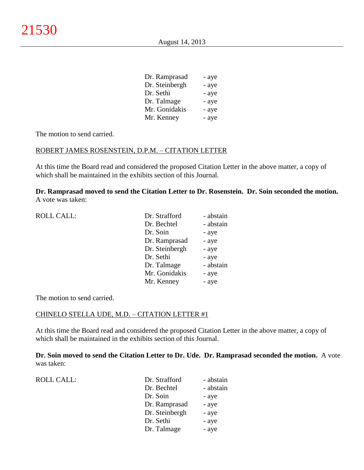| Dr. Ramprasad  | - aye |
|----------------|-------|
| Dr. Steinbergh | - aye |
| Dr. Sethi      | - aye |
| Dr. Talmage    | - aye |
| Mr. Gonidakis  | - aye |
| Mr. Kenney     | - aye |

The motion to send carried.

#### ROBERT JAMES ROSENSTEIN, D.P.M. – CITATION LETTER

At this time the Board read and considered the proposed Citation Letter in the above matter, a copy of which shall be maintained in the exhibits section of this Journal.

**Dr. Ramprasad moved to send the Citation Letter to Dr. Rosenstein. Dr. Soin seconded the motion.** A vote was taken:

| <b>ROLL CALL:</b> | Dr. Strafford  | - abstain |
|-------------------|----------------|-----------|
|                   | Dr. Bechtel    | - abstain |
|                   | Dr. Soin       | - aye     |
|                   | Dr. Ramprasad  | - aye     |
|                   | Dr. Steinbergh | - aye     |
|                   | Dr. Sethi      | - aye     |
|                   | Dr. Talmage    | - abstain |
|                   | Mr. Gonidakis  | - aye     |
|                   | Mr. Kenney     | - aye     |
|                   |                |           |

The motion to send carried.

#### CHINELO STELLA UDE, M.D. – CITATION LETTER #1

At this time the Board read and considered the proposed Citation Letter in the above matter, a copy of which shall be maintained in the exhibits section of this Journal.

**Dr. Soin moved to send the Citation Letter to Dr. Ude. Dr. Ramprasad seconded the motion.** A vote was taken:

| <b>ROLL CALL:</b> | Dr. Strafford  | - abstain |
|-------------------|----------------|-----------|
|                   | Dr. Bechtel    | - abstain |
|                   | Dr. Soin       | - aye     |
|                   | Dr. Ramprasad  | - aye     |
|                   | Dr. Steinbergh | - aye     |
|                   | Dr. Sethi      | - aye     |
|                   | Dr. Talmage    | - aye     |
|                   |                |           |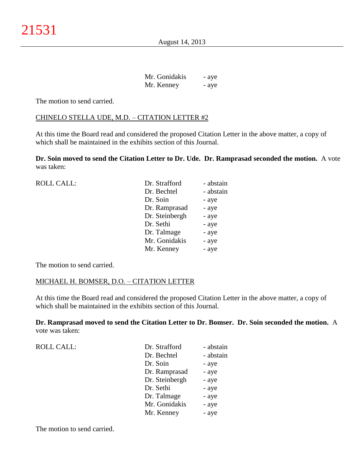| Mr. Gonidakis | - aye |
|---------------|-------|
| Mr. Kenney    | - aye |

The motion to send carried.

#### CHINELO STELLA UDE, M.D. – CITATION LETTER #2

At this time the Board read and considered the proposed Citation Letter in the above matter, a copy of which shall be maintained in the exhibits section of this Journal.

**Dr. Soin moved to send the Citation Letter to Dr. Ude. Dr. Ramprasad seconded the motion.** A vote was taken:

| <b>ROLL CALL:</b> | Dr. Strafford  | - abstain |
|-------------------|----------------|-----------|
|                   | Dr. Bechtel    | - abstain |
|                   | Dr. Soin       | - aye     |
|                   | Dr. Ramprasad  | - aye     |
|                   | Dr. Steinbergh | - aye     |
|                   | Dr. Sethi      | - aye     |
|                   | Dr. Talmage    | - aye     |
|                   | Mr. Gonidakis  | - aye     |
|                   | Mr. Kenney     | - aye     |
|                   |                |           |

The motion to send carried.

#### MICHAEL H. BOMSER, D.O. – CITATION LETTER

At this time the Board read and considered the proposed Citation Letter in the above matter, a copy of which shall be maintained in the exhibits section of this Journal.

**Dr. Ramprasad moved to send the Citation Letter to Dr. Bomser. Dr. Soin seconded the motion.** A vote was taken:

| <b>ROLL CALL:</b> | Dr. Strafford  | - abstain |
|-------------------|----------------|-----------|
|                   | Dr. Bechtel    | - abstain |
|                   | Dr. Soin       | - aye     |
|                   | Dr. Ramprasad  | - aye     |
|                   | Dr. Steinbergh | - aye     |
|                   | Dr. Sethi      | - aye     |
|                   | Dr. Talmage    | - aye     |
|                   | Mr. Gonidakis  | - aye     |
|                   | Mr. Kenney     | - aye     |
|                   |                |           |

The motion to send carried.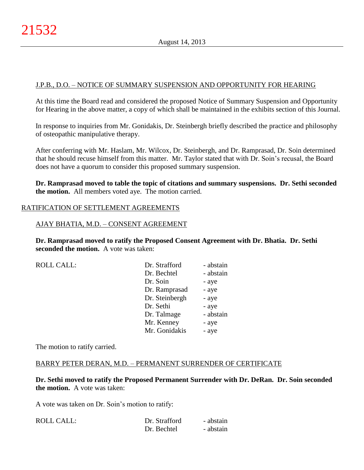#### J.P.B., D.O. – NOTICE OF SUMMARY SUSPENSION AND OPPORTUNITY FOR HEARING

At this time the Board read and considered the proposed Notice of Summary Suspension and Opportunity for Hearing in the above matter, a copy of which shall be maintained in the exhibits section of this Journal.

In response to inquiries from Mr. Gonidakis, Dr. Steinbergh briefly described the practice and philosophy of osteopathic manipulative therapy.

After conferring with Mr. Haslam, Mr. Wilcox, Dr. Steinbergh, and Dr. Ramprasad, Dr. Soin determined that he should recuse himself from this matter. Mr. Taylor stated that with Dr. Soin's recusal, the Board does not have a quorum to consider this proposed summary suspension.

**Dr. Ramprasad moved to table the topic of citations and summary suspensions. Dr. Sethi seconded the motion.** All members voted aye. The motion carried.

#### RATIFICATION OF SETTLEMENT AGREEMENTS

#### AJAY BHATIA, M.D. – CONSENT AGREEMENT

**Dr. Ramprasad moved to ratify the Proposed Consent Agreement with Dr. Bhatia. Dr. Sethi seconded the motion.** A vote was taken:

ROLL CALL:

| Dr. Strafford  | - abstain |
|----------------|-----------|
| Dr. Bechtel    | - abstain |
| Dr. Soin       | - aye     |
| Dr. Ramprasad  | - aye     |
| Dr. Steinbergh | - aye     |
| Dr. Sethi      | - aye     |
| Dr. Talmage    | - abstain |
| Mr. Kenney     | - aye     |
| Mr. Gonidakis  | - aye     |

The motion to ratify carried.

#### BARRY PETER DERAN, M.D. – PERMANENT SURRENDER OF CERTIFICATE

**Dr. Sethi moved to ratify the Proposed Permanent Surrender with Dr. DeRan. Dr. Soin seconded the motion.** A vote was taken:

A vote was taken on Dr. Soin's motion to ratify:

| <b>ROLL CALL:</b> | Dr. Strafford | - abstain |
|-------------------|---------------|-----------|
|                   | Dr. Bechtel   | - abstain |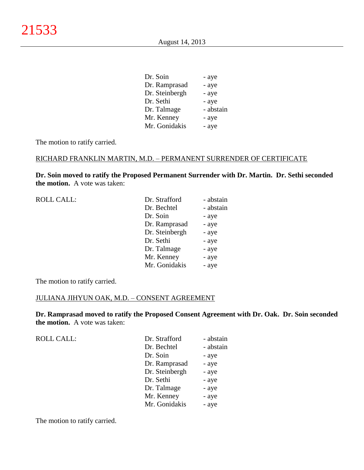| Dr. Soin       | - aye     |
|----------------|-----------|
| Dr. Ramprasad  | - aye     |
| Dr. Steinbergh | - aye     |
| Dr. Sethi      | - aye     |
| Dr. Talmage    | - abstain |
| Mr. Kenney     | - aye     |
| Mr. Gonidakis  | - aye     |

The motion to ratify carried.

#### RICHARD FRANKLIN MARTIN, M.D. – PERMANENT SURRENDER OF CERTIFICATE

**Dr. Soin moved to ratify the Proposed Permanent Surrender with Dr. Martin. Dr. Sethi seconded the motion.** A vote was taken:

| <b>ROLL CALL:</b> | Dr. Strafford  | - abstain |
|-------------------|----------------|-----------|
|                   | Dr. Bechtel    | - abstain |
|                   | Dr. Soin       | - aye     |
|                   | Dr. Ramprasad  | - aye     |
|                   | Dr. Steinbergh | - aye     |
|                   | Dr. Sethi      | - aye     |
|                   | Dr. Talmage    | - aye     |
|                   | Mr. Kenney     | - aye     |
|                   | Mr. Gonidakis  | - aye     |
|                   |                |           |

The motion to ratify carried.

#### JULIANA JIHYUN OAK, M.D. – CONSENT AGREEMENT

**Dr. Ramprasad moved to ratify the Proposed Consent Agreement with Dr. Oak. Dr. Soin seconded the motion.** A vote was taken:

| <b>ROLL CALL:</b> | Dr. Strafford  | - abstain |
|-------------------|----------------|-----------|
|                   | Dr. Bechtel    | - abstain |
|                   | Dr. Soin       | - aye     |
|                   | Dr. Ramprasad  | - aye     |
|                   | Dr. Steinbergh | - aye     |
|                   | Dr. Sethi      | - aye     |
|                   | Dr. Talmage    | - aye     |
|                   | Mr. Kenney     | - aye     |
|                   | Mr. Gonidakis  | - aye     |

The motion to ratify carried.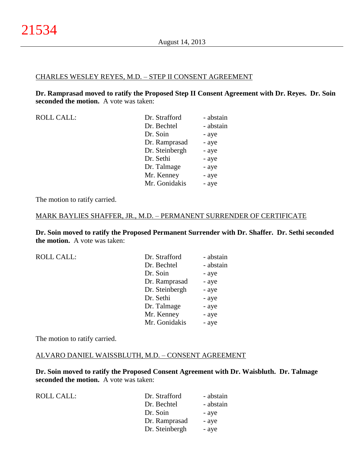#### CHARLES WESLEY REYES, M.D. – STEP II CONSENT AGREEMENT

**Dr. Ramprasad moved to ratify the Proposed Step II Consent Agreement with Dr. Reyes. Dr. Soin seconded the motion.** A vote was taken:

| Dr. Strafford  | - abstain |
|----------------|-----------|
| Dr. Bechtel    | - abstain |
| Dr. Soin       | - aye     |
| Dr. Ramprasad  | - aye     |
| Dr. Steinbergh | - aye     |
| Dr. Sethi      | - aye     |
| Dr. Talmage    | - aye     |
| Mr. Kenney     | - aye     |
| Mr. Gonidakis  | - aye     |
|                |           |

The motion to ratify carried.

#### MARK BAYLIES SHAFFER, JR., M.D. – PERMANENT SURRENDER OF CERTIFICATE

**Dr. Soin moved to ratify the Proposed Permanent Surrender with Dr. Shaffer. Dr. Sethi seconded the motion.** A vote was taken:

|  | <b>ROLL CALL:</b> |  |
|--|-------------------|--|
|  |                   |  |

| <b>ROLL CALL:</b> | Dr. Strafford  | - abstain |
|-------------------|----------------|-----------|
|                   | Dr. Bechtel    | - abstain |
|                   | Dr. Soin       | - aye     |
|                   | Dr. Ramprasad  | - aye     |
|                   | Dr. Steinbergh | - aye     |
|                   | Dr. Sethi      | - aye     |
|                   | Dr. Talmage    | - aye     |
|                   | Mr. Kenney     | - aye     |
|                   | Mr. Gonidakis  | - aye     |

The motion to ratify carried.

#### ALVARO DANIEL WAISSBLUTH, M.D. – CONSENT AGREEMENT

**Dr. Soin moved to ratify the Proposed Consent Agreement with Dr. Waisbluth. Dr. Talmage seconded the motion.** A vote was taken:

| <b>ROLL CALL:</b> | Dr. Strafford  | - abstain |
|-------------------|----------------|-----------|
|                   | Dr. Bechtel    | - abstain |
|                   | Dr. Soin       | - aye     |
|                   | Dr. Ramprasad  | - aye     |
|                   | Dr. Steinbergh | - aye     |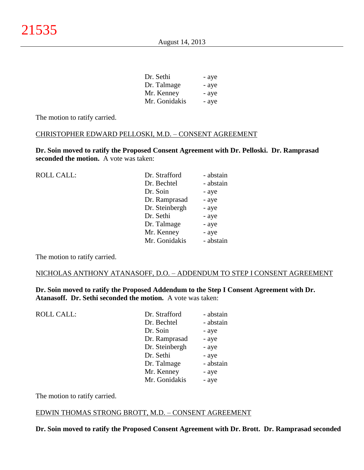| Dr. Sethi     | - aye |
|---------------|-------|
| Dr. Talmage   | - aye |
| Mr. Kenney    | - aye |
| Mr. Gonidakis | - aye |

The motion to ratify carried.

#### CHRISTOPHER EDWARD PELLOSKI, M.D. – CONSENT AGREEMENT

**Dr. Soin moved to ratify the Proposed Consent Agreement with Dr. Pelloski. Dr. Ramprasad seconded the motion.** A vote was taken:

| <b>ROLL CALL:</b> | Dr. Strafford  | - abstain |
|-------------------|----------------|-----------|
|                   | Dr. Bechtel    | - abstain |
|                   | Dr. Soin       | - aye     |
|                   | Dr. Ramprasad  | - aye     |
|                   | Dr. Steinbergh | - aye     |
|                   | Dr. Sethi      | - aye     |
|                   | Dr. Talmage    | - aye     |
|                   | Mr. Kenney     | - aye     |
|                   | Mr. Gonidakis  | - abstain |
|                   |                |           |

The motion to ratify carried.

#### NICHOLAS ANTHONY ATANASOFF, D.O. – ADDENDUM TO STEP I CONSENT AGREEMENT

**Dr. Soin moved to ratify the Proposed Addendum to the Step I Consent Agreement with Dr. Atanasoff. Dr. Sethi seconded the motion.** A vote was taken:

| <b>ROLL CALL:</b> | Dr. Strafford  | - abstain |
|-------------------|----------------|-----------|
|                   | Dr. Bechtel    | - abstain |
|                   | Dr. Soin       | - aye     |
|                   | Dr. Ramprasad  | - aye     |
|                   | Dr. Steinbergh | - aye     |
|                   | Dr. Sethi      | - aye     |
|                   | Dr. Talmage    | - abstain |
|                   | Mr. Kenney     | - aye     |
|                   | Mr. Gonidakis  | - aye     |
|                   |                |           |

The motion to ratify carried.

#### EDWIN THOMAS STRONG BROTT, M.D. – CONSENT AGREEMENT

**Dr. Soin moved to ratify the Proposed Consent Agreement with Dr. Brott. Dr. Ramprasad seconded**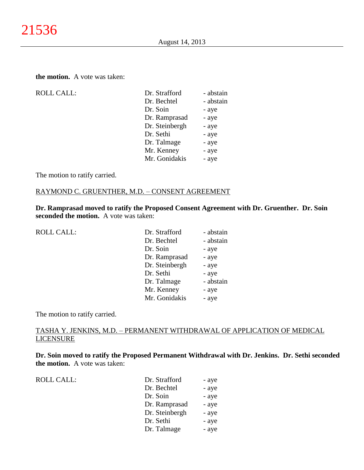#### **the motion.** A vote was taken:

| <b>ROLL CALL:</b> |
|-------------------|
|                   |

| <b>ROLL CALL:</b> | Dr. Strafford  | - abstain |
|-------------------|----------------|-----------|
|                   | Dr. Bechtel    | - abstain |
|                   | Dr. Soin       | - aye     |
|                   | Dr. Ramprasad  | - aye     |
|                   | Dr. Steinbergh | - aye     |
|                   | Dr. Sethi      | - aye     |
|                   | Dr. Talmage    | - aye     |
|                   | Mr. Kenney     | - aye     |
|                   | Mr. Gonidakis  | - aye     |
|                   |                |           |

The motion to ratify carried.

#### RAYMOND C. GRUENTHER, M.D. – CONSENT AGREEMENT

**Dr. Ramprasad moved to ratify the Proposed Consent Agreement with Dr. Gruenther. Dr. Soin seconded the motion.** A vote was taken:

| <b>ROLL CALL:</b> | Dr. Strafford  | - abstain |
|-------------------|----------------|-----------|
|                   | Dr. Bechtel    | - abstain |
|                   | Dr. Soin       | - aye     |
|                   | Dr. Ramprasad  | - aye     |
|                   | Dr. Steinbergh | - aye     |
|                   | Dr. Sethi      | - aye     |
|                   | Dr. Talmage    | - abstain |
|                   | Mr. Kenney     | - aye     |
|                   | Mr. Gonidakis  | - aye     |
|                   |                |           |

The motion to ratify carried.

#### TASHA Y. JENKINS, M.D. – PERMANENT WITHDRAWAL OF APPLICATION OF MEDICAL LICENSURE

**Dr. Soin moved to ratify the Proposed Permanent Withdrawal with Dr. Jenkins. Dr. Sethi seconded the motion.** A vote was taken:

ROLL CALL:  $\qquad \qquad \blacksquare$ 

| Dr. Strafford  | - aye |
|----------------|-------|
| Dr. Bechtel    | - aye |
| Dr. Soin       | - aye |
| Dr. Ramprasad  | - aye |
| Dr. Steinbergh | - aye |
| Dr. Sethi      | - aye |
| Dr. Talmage    | - aye |
|                |       |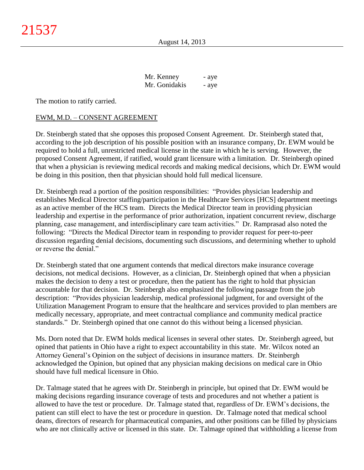| Mr. Kenney    | - aye |
|---------------|-------|
| Mr. Gonidakis | - aye |

The motion to ratify carried.

#### EWM, M.D. – CONSENT AGREEMENT

Dr. Steinbergh stated that she opposes this proposed Consent Agreement. Dr. Steinbergh stated that, according to the job description of his possible position with an insurance company, Dr. EWM would be required to hold a full, unrestricted medical license in the state in which he is serving. However, the proposed Consent Agreement, if ratified, would grant licensure with a limitation. Dr. Steinbergh opined that when a physician is reviewing medical records and making medical decisions, which Dr. EWM would be doing in this position, then that physician should hold full medical licensure.

Dr. Steinbergh read a portion of the position responsibilities: "Provides physician leadership and establishes Medical Director staffing/participation in the Healthcare Services [HCS] department meetings as an active member of the HCS team. Directs the Medical Director team in providing physician leadership and expertise in the performance of prior authorization, inpatient concurrent review, discharge planning, case management, and interdisciplinary care team activities." Dr. Ramprasad also noted the following: "Directs the Medical Director team in responding to provider request for peer-to-peer discussion regarding denial decisions, documenting such discussions, and determining whether to uphold or reverse the denial."

Dr. Steinbergh stated that one argument contends that medical directors make insurance coverage decisions, not medical decisions. However, as a clinician, Dr. Steinbergh opined that when a physician makes the decision to deny a test or procedure, then the patient has the right to hold that physician accountable for that decision. Dr. Steinbergh also emphasized the following passage from the job description: "Provides physician leadership, medical professional judgment, for and oversight of the Utilization Management Program to ensure that the healthcare and services provided to plan members are medically necessary, appropriate, and meet contractual compliance and community medical practice standards." Dr. Steinbergh opined that one cannot do this without being a licensed physician.

Ms. Dorn noted that Dr. EWM holds medical licenses in several other states. Dr. Steinbergh agreed, but opined that patients in Ohio have a right to expect accountability in this state. Mr. Wilcox noted an Attorney General's Opinion on the subject of decisions in insurance matters. Dr. Steinbergh acknowledged the Opinion, but opined that any physician making decisions on medical care in Ohio should have full medical licensure in Ohio.

Dr. Talmage stated that he agrees with Dr. Steinbergh in principle, but opined that Dr. EWM would be making decisions regarding insurance coverage of tests and procedures and not whether a patient is allowed to have the test or procedure. Dr. Talmage stated that, regardless of Dr. EWM's decisions, the patient can still elect to have the test or procedure in question. Dr. Talmage noted that medical school deans, directors of research for pharmaceutical companies, and other positions can be filled by physicians who are not clinically active or licensed in this state. Dr. Talmage opined that withholding a license from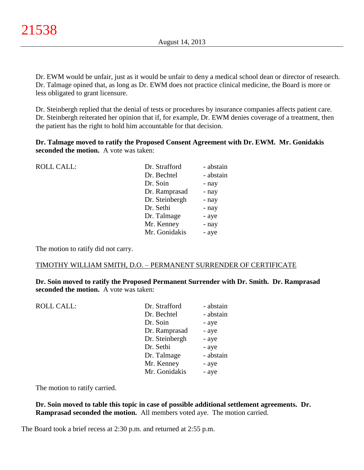Dr. EWM would be unfair, just as it would be unfair to deny a medical school dean or director of research. Dr. Talmage opined that, as long as Dr. EWM does not practice clinical medicine, the Board is more or less obligated to grant licensure.

Dr. Steinbergh replied that the denial of tests or procedures by insurance companies affects patient care. Dr. Steinbergh reiterated her opinion that if, for example, Dr. EWM denies coverage of a treatment, then the patient has the right to hold him accountable for that decision.

**Dr. Talmage moved to ratify the Proposed Consent Agreement with Dr. EWM. Mr. Gonidakis seconded the motion.** A vote was taken:

| <b>ROLL CALL:</b> | Dr. Strafford  | - abstain |
|-------------------|----------------|-----------|
|                   | Dr. Bechtel    | - abstain |
|                   | Dr. Soin       | - nay     |
|                   | Dr. Ramprasad  | - nay     |
|                   | Dr. Steinbergh | - nay     |
|                   | Dr. Sethi      | - nay     |
|                   | Dr. Talmage    | - aye     |
|                   | Mr. Kenney     | - nay     |
|                   | Mr. Gonidakis  | - aye     |
|                   |                |           |

The motion to ratify did not carry.

#### TIMOTHY WILLIAM SMITH, D.O. – PERMANENT SURRENDER OF CERTIFICATE

**Dr. Soin moved to ratify the Proposed Permanent Surrender with Dr. Smith. Dr. Ramprasad seconded the motion.** A vote was taken:

| <b>ROLL CALL:</b> | Dr. Strafford  | - abstain |
|-------------------|----------------|-----------|
|                   | Dr. Bechtel    | - abstain |
|                   | Dr. Soin       | - aye     |
|                   | Dr. Ramprasad  | - aye     |
|                   | Dr. Steinbergh | - aye     |
|                   | Dr. Sethi      | - aye     |
|                   | Dr. Talmage    | - abstain |
|                   | Mr. Kenney     | - aye     |
|                   | Mr. Gonidakis  | - aye     |
|                   |                |           |

The motion to ratify carried.

**Dr. Soin moved to table this topic in case of possible additional settlement agreements. Dr. Ramprasad seconded the motion.** All members voted aye. The motion carried.

The Board took a brief recess at 2:30 p.m. and returned at 2:55 p.m.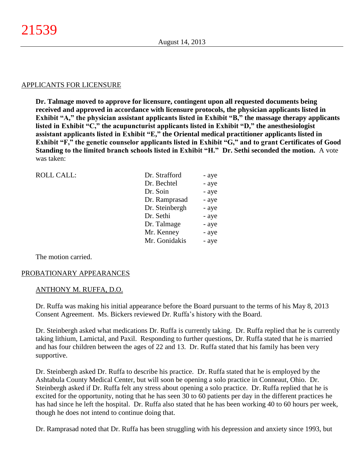#### APPLICANTS FOR LICENSURE

**Dr. Talmage moved to approve for licensure, contingent upon all requested documents being received and approved in accordance with licensure protocols, the physician applicants listed in Exhibit "A," the physician assistant applicants listed in Exhibit "B," the massage therapy applicants listed in Exhibit "C," the acupuncturist applicants listed in Exhibit "D," the anesthesiologist assistant applicants listed in Exhibit "E," the Oriental medical practitioner applicants listed in Exhibit "F," the genetic counselor applicants listed in Exhibit "G," and to grant Certificates of Good Standing to the limited branch schools listed in Exhibit "H." Dr. Sethi seconded the motion.** A vote was taken:

| <b>ROLL CALL:</b> | Dr. Strafford  |       |
|-------------------|----------------|-------|
|                   |                | - aye |
|                   | Dr. Bechtel    | - aye |
|                   | Dr. Soin       | - aye |
|                   | Dr. Ramprasad  | - aye |
|                   | Dr. Steinbergh | - aye |
|                   | Dr. Sethi      | - aye |
|                   | Dr. Talmage    | - aye |
|                   | Mr. Kenney     | - aye |
|                   | Mr. Gonidakis  | - aye |
|                   |                |       |

The motion carried.

#### PROBATIONARY APPEARANCES

#### ANTHONY M. RUFFA, D.O.

Dr. Ruffa was making his initial appearance before the Board pursuant to the terms of his May 8, 2013 Consent Agreement. Ms. Bickers reviewed Dr. Ruffa's history with the Board.

Dr. Steinbergh asked what medications Dr. Ruffa is currently taking. Dr. Ruffa replied that he is currently taking lithium, Lamictal, and Paxil. Responding to further questions, Dr. Ruffa stated that he is married and has four children between the ages of 22 and 13. Dr. Ruffa stated that his family has been very supportive.

Dr. Steinbergh asked Dr. Ruffa to describe his practice. Dr. Ruffa stated that he is employed by the Ashtabula County Medical Center, but will soon be opening a solo practice in Conneaut, Ohio. Dr. Steinbergh asked if Dr. Ruffa felt any stress about opening a solo practice. Dr. Ruffa replied that he is excited for the opportunity, noting that he has seen 30 to 60 patients per day in the different practices he has had since he left the hospital. Dr. Ruffa also stated that he has been working 40 to 60 hours per week, though he does not intend to continue doing that.

Dr. Ramprasad noted that Dr. Ruffa has been struggling with his depression and anxiety since 1993, but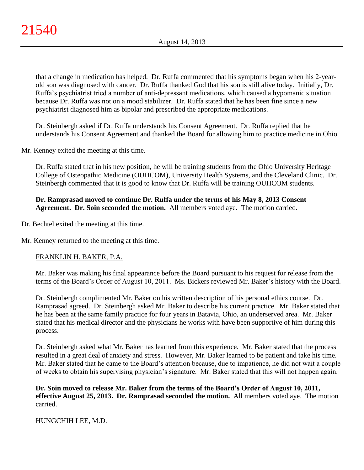that a change in medication has helped. Dr. Ruffa commented that his symptoms began when his 2-yearold son was diagnosed with cancer. Dr. Ruffa thanked God that his son is still alive today. Initially, Dr. Ruffa's psychiatrist tried a number of anti-depressant medications, which caused a hypomanic situation because Dr. Ruffa was not on a mood stabilizer. Dr. Ruffa stated that he has been fine since a new psychiatrist diagnosed him as bipolar and prescribed the appropriate medications.

Dr. Steinbergh asked if Dr. Ruffa understands his Consent Agreement. Dr. Ruffa replied that he understands his Consent Agreement and thanked the Board for allowing him to practice medicine in Ohio.

Mr. Kenney exited the meeting at this time.

Dr. Ruffa stated that in his new position, he will be training students from the Ohio University Heritage College of Osteopathic Medicine (OUHCOM), University Health Systems, and the Cleveland Clinic. Dr. Steinbergh commented that it is good to know that Dr. Ruffa will be training OUHCOM students.

# **Dr. Ramprasad moved to continue Dr. Ruffa under the terms of his May 8, 2013 Consent Agreement. Dr. Soin seconded the motion.** All members voted aye. The motion carried.

Dr. Bechtel exited the meeting at this time.

Mr. Kenney returned to the meeting at this time.

# FRANKLIN H. BAKER, P.A.

Mr. Baker was making his final appearance before the Board pursuant to his request for release from the terms of the Board's Order of August 10, 2011. Ms. Bickers reviewed Mr. Baker's history with the Board.

Dr. Steinbergh complimented Mr. Baker on his written description of his personal ethics course. Dr. Ramprasad agreed. Dr. Steinbergh asked Mr. Baker to describe his current practice. Mr. Baker stated that he has been at the same family practice for four years in Batavia, Ohio, an underserved area. Mr. Baker stated that his medical director and the physicians he works with have been supportive of him during this process.

Dr. Steinbergh asked what Mr. Baker has learned from this experience. Mr. Baker stated that the process resulted in a great deal of anxiety and stress. However, Mr. Baker learned to be patient and take his time. Mr. Baker stated that he came to the Board's attention because, due to impatience, he did not wait a couple of weeks to obtain his supervising physician's signature. Mr. Baker stated that this will not happen again.

**Dr. Soin moved to release Mr. Baker from the terms of the Board's Order of August 10, 2011, effective August 25, 2013. Dr. Ramprasad seconded the motion.** All members voted aye. The motion carried.

#### HUNGCHIH LEE, M.D.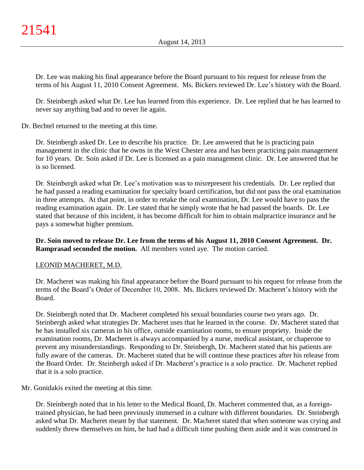Dr. Lee was making his final appearance before the Board pursuant to his request for release from the terms of his August 11, 2010 Consent Agreement. Ms. Bickers reviewed Dr. Lee's history with the Board.

Dr. Steinbergh asked what Dr. Lee has learned from this experience. Dr. Lee replied that he has learned to never say anything bad and to never lie again.

Dr. Bechtel returned to the meeting at this time.

Dr. Steinbergh asked Dr. Lee to describe his practice. Dr. Lee answered that he is practicing pain management in the clinic that he owns in the West Chester area and has been practicing pain management for 10 years. Dr. Soin asked if Dr. Lee is licensed as a pain management clinic. Dr. Lee answered that he is so licensed.

Dr. Steinbergh asked what Dr. Lee's motivation was to misrepresent his credentials. Dr. Lee replied that he had passed a reading examination for specialty board certification, but did not pass the oral examination in three attempts. At that point, in order to retake the oral examination, Dr. Lee would have to pass the reading examination again. Dr. Lee stated that he simply wrote that he had passed the boards. Dr. Lee stated that because of this incident, it has become difficult for him to obtain malpractice insurance and he pays a somewhat higher premium.

**Dr. Soin moved to release Dr. Lee from the terms of his August 11, 2010 Consent Agreement. Dr. Ramprasad seconded the motion.** All members voted aye. The motion carried.

#### LEONID MACHERET, M.D.

Dr. Macheret was making his final appearance before the Board pursuant to his request for release from the terms of the Board's Order of December 10, 2008. Ms. Bickers reviewed Dr. Macheret's history with the Board.

Dr. Steinbergh noted that Dr. Macheret completed his sexual boundaries course two years ago. Dr. Steinbergh asked what strategies Dr. Macheret uses that he learned in the course. Dr. Macheret stated that he has installed six cameras in his office, outside examination rooms, to ensure propriety. Inside the examination rooms, Dr. Macheret is always accompanied by a nurse, medical assistant, or chaperone to prevent any misunderstandings. Responding to Dr. Steinbergh, Dr. Macheret stated that his patients are fully aware of the cameras. Dr. Macheret stated that he will continue these practices after his release from the Board Order. Dr. Steinbergh asked if Dr. Macheret's practice is a solo practice. Dr. Macheret replied that it is a solo practice.

Mr. Gonidakis exited the meeting at this time.

Dr. Steinbergh noted that in his letter to the Medical Board, Dr. Macheret commented that, as a foreigntrained physician, he had been previously immersed in a culture with different boundaries. Dr. Steinbergh asked what Dr. Macheret meant by that statement. Dr. Macheret stated that when someone was crying and suddenly threw themselves on him, he had had a difficult time pushing them aside and it was construed in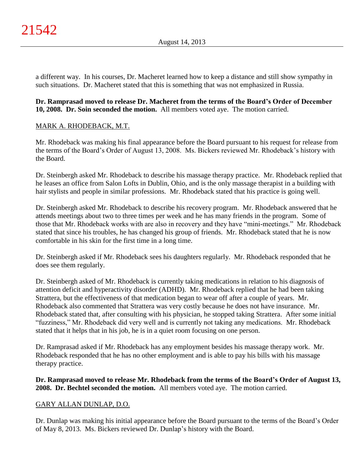a different way. In his courses, Dr. Macheret learned how to keep a distance and still show sympathy in such situations. Dr. Macheret stated that this is something that was not emphasized in Russia.

# **Dr. Ramprasad moved to release Dr. Macheret from the terms of the Board's Order of December 10, 2008. Dr. Soin seconded the motion.** All members voted aye. The motion carried.

# MARK A. RHODEBACK, M.T.

Mr. Rhodeback was making his final appearance before the Board pursuant to his request for release from the terms of the Board's Order of August 13, 2008. Ms. Bickers reviewed Mr. Rhodeback's history with the Board.

Dr. Steinbergh asked Mr. Rhodeback to describe his massage therapy practice. Mr. Rhodeback replied that he leases an office from Salon Lofts in Dublin, Ohio, and is the only massage therapist in a building with hair stylists and people in similar professions. Mr. Rhodeback stated that his practice is going well.

Dr. Steinbergh asked Mr. Rhodeback to describe his recovery program. Mr. Rhodeback answered that he attends meetings about two to three times per week and he has many friends in the program. Some of those that Mr. Rhodeback works with are also in recovery and they have "mini-meetings." Mr. Rhodeback stated that since his troubles, he has changed his group of friends. Mr. Rhodeback stated that he is now comfortable in his skin for the first time in a long time.

Dr. Steinbergh asked if Mr. Rhodeback sees his daughters regularly. Mr. Rhodeback responded that he does see them regularly.

Dr. Steinbergh asked of Mr. Rhodeback is currently taking medications in relation to his diagnosis of attention deficit and hyperactivity disorder (ADHD). Mr. Rhodeback replied that he had been taking Strattera, but the effectiveness of that medication began to wear off after a couple of years. Mr. Rhodeback also commented that Strattera was very costly because he does not have insurance. Mr. Rhodeback stated that, after consulting with his physician, he stopped taking Strattera. After some initial "fuzziness," Mr. Rhodeback did very well and is currently not taking any medications. Mr. Rhodeback stated that it helps that in his job, he is in a quiet room focusing on one person.

Dr. Ramprasad asked if Mr. Rhodeback has any employment besides his massage therapy work. Mr. Rhodeback responded that he has no other employment and is able to pay his bills with his massage therapy practice.

# **Dr. Ramprasad moved to release Mr. Rhodeback from the terms of the Board's Order of August 13, 2008. Dr. Bechtel seconded the motion.** All members voted aye. The motion carried.

# GARY ALLAN DUNLAP, D.O.

Dr. Dunlap was making his initial appearance before the Board pursuant to the terms of the Board's Order of May 8, 2013. Ms. Bickers reviewed Dr. Dunlap's history with the Board.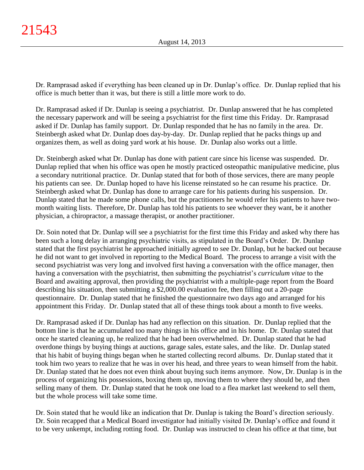Dr. Ramprasad asked if everything has been cleaned up in Dr. Dunlap's office. Dr. Dunlap replied that his office is much better than it was, but there is still a little more work to do.

Dr. Ramprasad asked if Dr. Dunlap is seeing a psychiatrist. Dr. Dunlap answered that he has completed the necessary paperwork and will be seeing a psychiatrist for the first time this Friday. Dr. Ramprasad asked if Dr. Dunlap has family support. Dr. Dunlap responded that he has no family in the area. Dr. Steinbergh asked what Dr. Dunlap does day-by-day. Dr. Dunlap replied that he packs things up and organizes them, as well as doing yard work at his house. Dr. Dunlap also works out a little.

Dr. Steinbergh asked what Dr. Dunlap has done with patient care since his license was suspended. Dr. Dunlap replied that when his office was open he mostly practiced osteopathic manipulative medicine, plus a secondary nutritional practice. Dr. Dunlap stated that for both of those services, there are many people his patients can see. Dr. Dunlap hoped to have his license reinstated so he can resume his practice. Dr. Steinbergh asked what Dr. Dunlap has done to arrange care for his patients during his suspension. Dr. Dunlap stated that he made some phone calls, but the practitioners he would refer his patients to have twomonth waiting lists. Therefore, Dr. Dunlap has told his patients to see whoever they want, be it another physician, a chiropractor, a massage therapist, or another practitioner.

Dr. Soin noted that Dr. Dunlap will see a psychiatrist for the first time this Friday and asked why there has been such a long delay in arranging psychiatric visits, as stipulated in the Board's Order. Dr. Dunlap stated that the first psychiatrist he approached initially agreed to see Dr. Dunlap, but he backed out because he did not want to get involved in reporting to the Medical Board. The process to arrange a visit with the second psychiatrist was very long and involved first having a conversation with the office manager, then having a conversation with the psychiatrist, then submitting the psychiatrist's *curriculum vitae* to the Board and awaiting approval, then providing the psychiatrist with a multiple-page report from the Board describing his situation, then submitting a \$2,000.00 evaluation fee, then filling out a 20-page questionnaire. Dr. Dunlap stated that he finished the questionnaire two days ago and arranged for his appointment this Friday. Dr. Dunlap stated that all of these things took about a month to five weeks.

Dr. Ramprasad asked if Dr. Dunlap has had any reflection on this situation. Dr. Dunlap replied that the bottom line is that he accumulated too many things in his office and in his home. Dr. Dunlap stated that once he started cleaning up, he realized that he had been overwhelmed. Dr. Dunlap stated that he had overdone things by buying things at auctions, garage sales, estate sales, and the like. Dr. Dunlap stated that his habit of buying things began when he started collecting record albums. Dr. Dunlap stated that it took him two years to realize that he was in over his head, and three years to wean himself from the habit. Dr. Dunlap stated that he does not even think about buying such items anymore. Now, Dr. Dunlap is in the process of organizing his possessions, boxing them up, moving them to where they should be, and then selling many of them. Dr. Dunlap stated that he took one load to a flea market last weekend to sell them, but the whole process will take some time.

Dr. Soin stated that he would like an indication that Dr. Dunlap is taking the Board's direction seriously. Dr. Soin recapped that a Medical Board investigator had initially visited Dr. Dunlap's office and found it to be very unkempt, including rotting food. Dr. Dunlap was instructed to clean his office at that time, but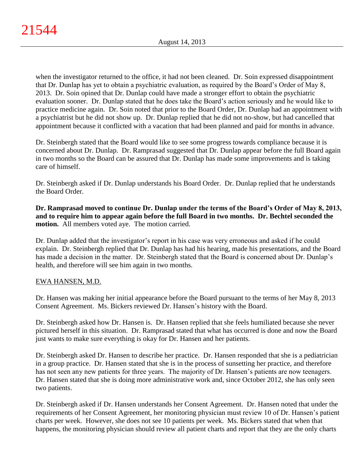when the investigator returned to the office, it had not been cleaned. Dr. Soin expressed disappointment that Dr. Dunlap has yet to obtain a psychiatric evaluation, as required by the Board's Order of May 8, 2013. Dr. Soin opined that Dr. Dunlap could have made a stronger effort to obtain the psychiatric evaluation sooner. Dr. Dunlap stated that he does take the Board's action seriously and he would like to practice medicine again. Dr. Soin noted that prior to the Board Order, Dr. Dunlap had an appointment with a psychiatrist but he did not show up. Dr. Dunlap replied that he did not no-show, but had cancelled that appointment because it conflicted with a vacation that had been planned and paid for months in advance.

Dr. Steinbergh stated that the Board would like to see some progress towards compliance because it is concerned about Dr. Dunlap. Dr. Ramprasad suggested that Dr. Dunlap appear before the full Board again in two months so the Board can be assured that Dr. Dunlap has made some improvements and is taking care of himself.

Dr. Steinbergh asked if Dr. Dunlap understands his Board Order. Dr. Dunlap replied that he understands the Board Order.

**Dr. Ramprasad moved to continue Dr. Dunlap under the terms of the Board's Order of May 8, 2013, and to require him to appear again before the full Board in two months. Dr. Bechtel seconded the motion.** All members voted aye. The motion carried.

Dr. Dunlap added that the investigator's report in his case was very erroneous and asked if he could explain. Dr. Steinbergh replied that Dr. Dunlap has had his hearing, made his presentations, and the Board has made a decision in the matter. Dr. Steinbergh stated that the Board is concerned about Dr. Dunlap's health, and therefore will see him again in two months.

# EWA HANSEN, M.D.

Dr. Hansen was making her initial appearance before the Board pursuant to the terms of her May 8, 2013 Consent Agreement. Ms. Bickers reviewed Dr. Hansen's history with the Board.

Dr. Steinbergh asked how Dr. Hansen is. Dr. Hansen replied that she feels humiliated because she never pictured herself in this situation. Dr. Ramprasad stated that what has occurred is done and now the Board just wants to make sure everything is okay for Dr. Hansen and her patients.

Dr. Steinbergh asked Dr. Hansen to describe her practice. Dr. Hansen responded that she is a pediatrician in a group practice. Dr. Hansen stated that she is in the process of sunsetting her practice, and therefore has not seen any new patients for three years. The majority of Dr. Hansen's patients are now teenagers. Dr. Hansen stated that she is doing more administrative work and, since October 2012, she has only seen two patients.

Dr. Steinbergh asked if Dr. Hansen understands her Consent Agreement. Dr. Hansen noted that under the requirements of her Consent Agreement, her monitoring physician must review 10 of Dr. Hansen's patient charts per week. However, she does not see 10 patients per week. Ms. Bickers stated that when that happens, the monitoring physician should review all patient charts and report that they are the only charts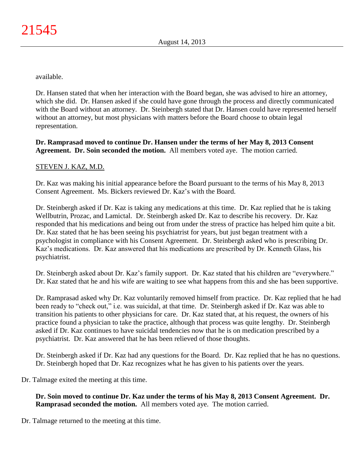available.

Dr. Hansen stated that when her interaction with the Board began, she was advised to hire an attorney, which she did. Dr. Hansen asked if she could have gone through the process and directly communicated with the Board without an attorney. Dr. Steinbergh stated that Dr. Hansen could have represented herself without an attorney, but most physicians with matters before the Board choose to obtain legal representation.

# **Dr. Ramprasad moved to continue Dr. Hansen under the terms of her May 8, 2013 Consent Agreement. Dr. Soin seconded the motion.** All members voted aye. The motion carried.

# STEVEN J. KAZ, M.D.

Dr. Kaz was making his initial appearance before the Board pursuant to the terms of his May 8, 2013 Consent Agreement. Ms. Bickers reviewed Dr. Kaz's with the Board.

Dr. Steinbergh asked if Dr. Kaz is taking any medications at this time. Dr. Kaz replied that he is taking Wellbutrin, Prozac, and Lamictal. Dr. Steinbergh asked Dr. Kaz to describe his recovery. Dr. Kaz responded that his medications and being out from under the stress of practice has helped him quite a bit. Dr. Kaz stated that he has been seeing his psychiatrist for years, but just began treatment with a psychologist in compliance with his Consent Agreement. Dr. Steinbergh asked who is prescribing Dr. Kaz's medications. Dr. Kaz answered that his medications are prescribed by Dr. Kenneth Glass, his psychiatrist.

Dr. Steinbergh asked about Dr. Kaz's family support. Dr. Kaz stated that his children are "everywhere." Dr. Kaz stated that he and his wife are waiting to see what happens from this and she has been supportive.

Dr. Ramprasad asked why Dr. Kaz voluntarily removed himself from practice. Dr. Kaz replied that he had been ready to "check out," i.e. was suicidal, at that time. Dr. Steinbergh asked if Dr. Kaz was able to transition his patients to other physicians for care. Dr. Kaz stated that, at his request, the owners of his practice found a physician to take the practice, although that process was quite lengthy. Dr. Steinbergh asked if Dr. Kaz continues to have suicidal tendencies now that he is on medication prescribed by a psychiatrist. Dr. Kaz answered that he has been relieved of those thoughts.

Dr. Steinbergh asked if Dr. Kaz had any questions for the Board. Dr. Kaz replied that he has no questions. Dr. Steinbergh hoped that Dr. Kaz recognizes what he has given to his patients over the years.

Dr. Talmage exited the meeting at this time.

**Dr. Soin moved to continue Dr. Kaz under the terms of his May 8, 2013 Consent Agreement. Dr. Ramprasad seconded the motion.** All members voted aye. The motion carried.

Dr. Talmage returned to the meeting at this time.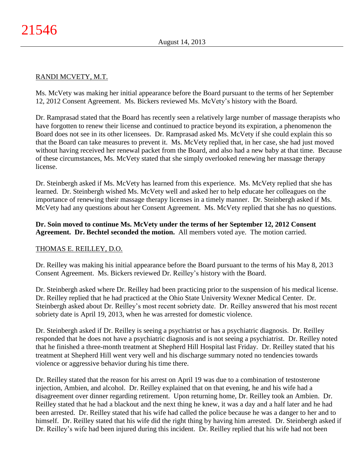# RANDI MCVETY, M.T.

Ms. McVety was making her initial appearance before the Board pursuant to the terms of her September 12, 2012 Consent Agreement. Ms. Bickers reviewed Ms. McVety's history with the Board.

Dr. Ramprasad stated that the Board has recently seen a relatively large number of massage therapists who have forgotten to renew their license and continued to practice beyond its expiration, a phenomenon the Board does not see in its other licensees. Dr. Ramprasad asked Ms. McVety if she could explain this so that the Board can take measures to prevent it. Ms. McVety replied that, in her case, she had just moved without having received her renewal packet from the Board, and also had a new baby at that time. Because of these circumstances, Ms. McVety stated that she simply overlooked renewing her massage therapy license.

Dr. Steinbergh asked if Ms. McVety has learned from this experience. Ms. McVety replied that she has learned. Dr. Steinbergh wished Ms. McVety well and asked her to help educate her colleagues on the importance of renewing their massage therapy licenses in a timely manner. Dr. Steinbergh asked if Ms. McVety had any questions about her Consent Agreement. Ms. McVety replied that she has no questions.

#### **Dr. Soin moved to continue Ms. McVety under the terms of her September 12, 2012 Consent Agreement. Dr. Bechtel seconded the motion.** All members voted aye. The motion carried.

# THOMAS E. REILLEY, D.O.

Dr. Reilley was making his initial appearance before the Board pursuant to the terms of his May 8, 2013 Consent Agreement. Ms. Bickers reviewed Dr. Reilley's history with the Board.

Dr. Steinbergh asked where Dr. Reilley had been practicing prior to the suspension of his medical license. Dr. Reilley replied that he had practiced at the Ohio State University Wexner Medical Center. Dr. Steinbergh asked about Dr. Reilley's most recent sobriety date. Dr. Reilley answered that his most recent sobriety date is April 19, 2013, when he was arrested for domestic violence.

Dr. Steinbergh asked if Dr. Reilley is seeing a psychiatrist or has a psychiatric diagnosis. Dr. Reilley responded that he does not have a psychiatric diagnosis and is not seeing a psychiatrist. Dr. Reilley noted that he finished a three-month treatment at Shepherd Hill Hospital last Friday. Dr. Reilley stated that his treatment at Shepherd Hill went very well and his discharge summary noted no tendencies towards violence or aggressive behavior during his time there.

Dr. Reilley stated that the reason for his arrest on April 19 was due to a combination of testosterone injection, Ambien, and alcohol. Dr. Reilley explained that on that evening, he and his wife had a disagreement over dinner regarding retirement. Upon returning home, Dr. Reilley took an Ambien. Dr. Reilley stated that he had a blackout and the next thing he knew, it was a day and a half later and he had been arrested. Dr. Reilley stated that his wife had called the police because he was a danger to her and to himself. Dr. Reilley stated that his wife did the right thing by having him arrested. Dr. Steinbergh asked if Dr. Reilley's wife had been injured during this incident. Dr. Reilley replied that his wife had not been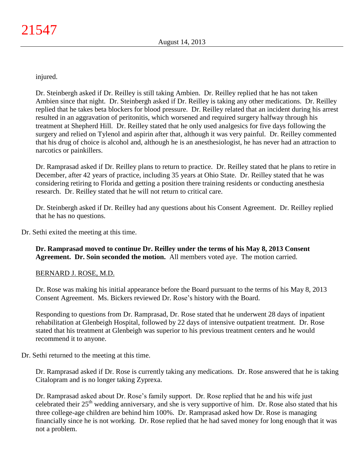injured.

Dr. Steinbergh asked if Dr. Reilley is still taking Ambien. Dr. Reilley replied that he has not taken Ambien since that night. Dr. Steinbergh asked if Dr. Reilley is taking any other medications. Dr. Reilley replied that he takes beta blockers for blood pressure. Dr. Reilley related that an incident during his arrest resulted in an aggravation of peritonitis, which worsened and required surgery halfway through his treatment at Shepherd Hill. Dr. Reilley stated that he only used analgesics for five days following the surgery and relied on Tylenol and aspirin after that, although it was very painful. Dr. Reilley commented that his drug of choice is alcohol and, although he is an anesthesiologist, he has never had an attraction to narcotics or painkillers.

Dr. Ramprasad asked if Dr. Reilley plans to return to practice. Dr. Reilley stated that he plans to retire in December, after 42 years of practice, including 35 years at Ohio State. Dr. Reilley stated that he was considering retiring to Florida and getting a position there training residents or conducting anesthesia research. Dr. Reilley stated that he will not return to critical care.

Dr. Steinbergh asked if Dr. Reilley had any questions about his Consent Agreement. Dr. Reilley replied that he has no questions.

Dr. Sethi exited the meeting at this time.

**Dr. Ramprasad moved to continue Dr. Reilley under the terms of his May 8, 2013 Consent Agreement. Dr. Soin seconded the motion.** All members voted aye. The motion carried.

#### BERNARD J. ROSE, M.D.

Dr. Rose was making his initial appearance before the Board pursuant to the terms of his May 8, 2013 Consent Agreement. Ms. Bickers reviewed Dr. Rose's history with the Board.

Responding to questions from Dr. Ramprasad, Dr. Rose stated that he underwent 28 days of inpatient rehabilitation at Glenbeigh Hospital, followed by 22 days of intensive outpatient treatment. Dr. Rose stated that his treatment at Glenbeigh was superior to his previous treatment centers and he would recommend it to anyone.

Dr. Sethi returned to the meeting at this time.

Dr. Ramprasad asked if Dr. Rose is currently taking any medications. Dr. Rose answered that he is taking Citalopram and is no longer taking Zyprexa.

Dr. Ramprasad asked about Dr. Rose's family support. Dr. Rose replied that he and his wife just celebrated their 25<sup>th</sup> wedding anniversary, and she is very supportive of him. Dr. Rose also stated that his three college-age children are behind him 100%. Dr. Ramprasad asked how Dr. Rose is managing financially since he is not working. Dr. Rose replied that he had saved money for long enough that it was not a problem.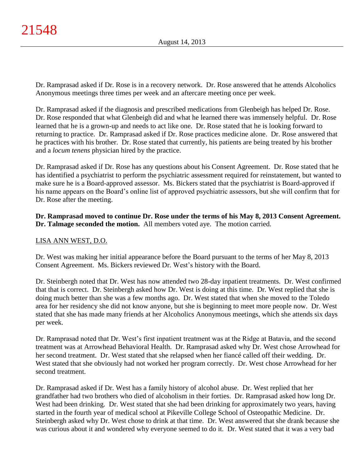Dr. Ramprasad asked if Dr. Rose is in a recovery network. Dr. Rose answered that he attends Alcoholics Anonymous meetings three times per week and an aftercare meeting once per week.

Dr. Ramprasad asked if the diagnosis and prescribed medications from Glenbeigh has helped Dr. Rose. Dr. Rose responded that what Glenbeigh did and what he learned there was immensely helpful. Dr. Rose learned that he is a grown-up and needs to act like one. Dr. Rose stated that he is looking forward to returning to practice. Dr. Ramprasad asked if Dr. Rose practices medicine alone. Dr. Rose answered that he practices with his brother. Dr. Rose stated that currently, his patients are being treated by his brother and a *locum tenens* physician hired by the practice.

Dr. Ramprasad asked if Dr. Rose has any questions about his Consent Agreement. Dr. Rose stated that he has identified a psychiatrist to perform the psychiatric assessment required for reinstatement, but wanted to make sure he is a Board-approved assessor. Ms. Bickers stated that the psychiatrist is Board-approved if his name appears on the Board's online list of approved psychiatric assessors, but she will confirm that for Dr. Rose after the meeting.

**Dr. Ramprasad moved to continue Dr. Rose under the terms of his May 8, 2013 Consent Agreement. Dr. Talmage seconded the motion.** All members voted aye. The motion carried.

# LISA ANN WEST, D.O.

Dr. West was making her initial appearance before the Board pursuant to the terms of her May 8, 2013 Consent Agreement. Ms. Bickers reviewed Dr. West's history with the Board.

Dr. Steinbergh noted that Dr. West has now attended two 28-day inpatient treatments. Dr. West confirmed that that is correct. Dr. Steinbergh asked how Dr. West is doing at this time. Dr. West replied that she is doing much better than she was a few months ago. Dr. West stated that when she moved to the Toledo area for her residency she did not know anyone, but she is beginning to meet more people now. Dr. West stated that she has made many friends at her Alcoholics Anonymous meetings, which she attends six days per week.

Dr. Ramprasad noted that Dr. West's first inpatient treatment was at the Ridge at Batavia, and the second treatment was at Arrowhead Behavioral Health. Dr. Ramprasad asked why Dr. West chose Arrowhead for her second treatment. Dr. West stated that she relapsed when her fiancé called off their wedding. Dr. West stated that she obviously had not worked her program correctly. Dr. West chose Arrowhead for her second treatment.

Dr. Ramprasad asked if Dr. West has a family history of alcohol abuse. Dr. West replied that her grandfather had two brothers who died of alcoholism in their forties. Dr. Ramprasad asked how long Dr. West had been drinking. Dr. West stated that she had been drinking for approximately two years, having started in the fourth year of medical school at Pikeville College School of Osteopathic Medicine. Dr. Steinbergh asked why Dr. West chose to drink at that time. Dr. West answered that she drank because she was curious about it and wondered why everyone seemed to do it. Dr. West stated that it was a very bad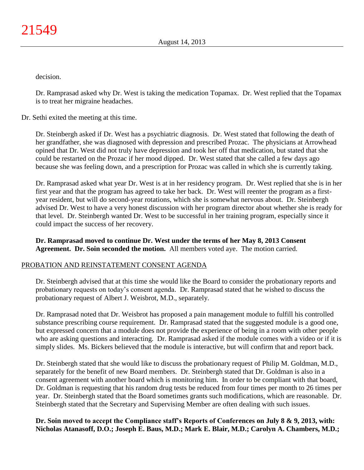decision.

Dr. Ramprasad asked why Dr. West is taking the medication Topamax. Dr. West replied that the Topamax is to treat her migraine headaches.

Dr. Sethi exited the meeting at this time.

Dr. Steinbergh asked if Dr. West has a psychiatric diagnosis. Dr. West stated that following the death of her grandfather, she was diagnosed with depression and prescribed Prozac. The physicians at Arrowhead opined that Dr. West did not truly have depression and took her off that medication, but stated that she could be restarted on the Prozac if her mood dipped. Dr. West stated that she called a few days ago because she was feeling down, and a prescription for Prozac was called in which she is currently taking.

Dr. Ramprasad asked what year Dr. West is at in her residency program. Dr. West replied that she is in her first year and that the program has agreed to take her back. Dr. West will reenter the program as a firstyear resident, but will do second-year rotations, which she is somewhat nervous about. Dr. Steinbergh advised Dr. West to have a very honest discussion with her program director about whether she is ready for that level. Dr. Steinbergh wanted Dr. West to be successful in her training program, especially since it could impact the success of her recovery.

**Dr. Ramprasad moved to continue Dr. West under the terms of her May 8, 2013 Consent Agreement. Dr. Soin seconded the motion.** All members voted aye. The motion carried.

# PROBATION AND REINSTATEMENT CONSENT AGENDA

Dr. Steinbergh advised that at this time she would like the Board to consider the probationary reports and probationary requests on today's consent agenda. Dr. Ramprasad stated that he wished to discuss the probationary request of Albert J. Weisbrot, M.D., separately.

Dr. Ramprasad noted that Dr. Weisbrot has proposed a pain management module to fulfill his controlled substance prescribing course requirement. Dr. Ramprasad stated that the suggested module is a good one, but expressed concern that a module does not provide the experience of being in a room with other people who are asking questions and interacting. Dr. Ramprasad asked if the module comes with a video or if it is simply slides. Ms. Bickers believed that the module is interactive, but will confirm that and report back.

Dr. Steinbergh stated that she would like to discuss the probationary request of Philip M. Goldman, M.D., separately for the benefit of new Board members. Dr. Steinbergh stated that Dr. Goldman is also in a consent agreement with another board which is monitoring him. In order to be compliant with that board, Dr. Goldman is requesting that his random drug tests be reduced from four times per month to 26 times per year. Dr. Steinbergh stated that the Board sometimes grants such modifications, which are reasonable. Dr. Steinbergh stated that the Secretary and Supervising Member are often dealing with such issues.

**Dr. Soin moved to accept the Compliance staff's Reports of Conferences on July 8 & 9, 2013, with: Nicholas Atanasoff, D.O.; Joseph E. Baus, M.D.; Mark E. Blair, M.D.; Carolyn A. Chambers, M.D.;**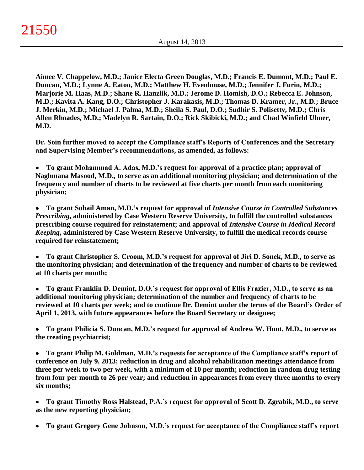**Aimee V. Chappelow, M.D.; Janice Electa Green Douglas, M.D.; Francis E. Dumont, M.D.; Paul E. Duncan, M.D.; Lynne A. Eaton, M.D.; Matthew H. Evenhouse, M.D.; Jennifer J. Furin, M.D.; Marjorie M. Haas, M.D.; Shane R. Hanzlik, M.D.; Jerome D. Homish, D.O.; Rebecca E. Johnson, M.D.; Kavita A. Kang, D.O.; Christopher J. Karakasis, M.D.; Thomas D. Kramer, Jr., M.D.; Bruce J. Merkin, M.D.; Michael J. Palma, M.D.; Sheila S. Paul, D.O.; Sudhir S. Polisetty, M.D.; Chris Allen Rhoades, M.D.; Madelyn R. Sartain, D.O.; Rick Skibicki, M.D.; and Chad Winfield Ulmer, M.D.**

**Dr. Soin further moved to accept the Compliance staff's Reports of Conferences and the Secretary and Supervising Member's recommendations, as amended, as follows:**

**To grant Mohammad A. Adas, M.D.'s request for approval of a practice plan; approval of**   $\bullet$ **Naghmana Masood, M.D., to serve as an additional monitoring physician; and determination of the frequency and number of charts to be reviewed at five charts per month from each monitoring physician;**

**To grant Sohail Aman, M.D.'s request for approval of** *Intensive Course in Controlled Substances*   $\bullet$ *Prescribing***, administered by Case Western Reserve University, to fulfill the controlled substances prescribing course required for reinstatement; and approval of** *Intensive Course in Medical Record Keeping***, administered by Case Western Reserve University, to fulfill the medical records course required for reinstatement;**

**To grant Christopher S. Croom, M.D.'s request for approval of Jiri D. Sonek, M.D., to serve as**   $\bullet$ **the monitoring physician; and determination of the frequency and number of charts to be reviewed at 10 charts per month;**

 $\bullet$ **To grant Franklin D. Demint, D.O.'s request for approval of Ellis Frazier, M.D., to serve as an additional monitoring physician; determination of the number and frequency of charts to be reviewed at 10 charts per week; and to continue Dr. Demint under the terms of the Board's Order of April 1, 2013, with future appearances before the Board Secretary or designee;**

**To grant Philicia S. Duncan, M.D.'s request for approval of Andrew W. Hunt, M.D., to serve as**   $\bullet$ **the treating psychiatrist;**

**To grant Philip M. Goldman, M.D.'s requests for acceptance of the Compliance staff's report of**   $\bullet$ **conference on July 9, 2013; reduction in drug and alcohol rehabilitation meetings attendance from three per week to two per week, with a minimum of 10 per month; reduction in random drug testing from four per month to 26 per year; and reduction in appearances from every three months to every six months;**

**To grant Timothy Ross Halstead, P.A.'s request for approval of Scott D. Zgrabik, M.D., to serve**   $\bullet$ **as the new reporting physician;**

**To grant Gregory Gene Johnson, M.D.'s request for acceptance of the Compliance staff's report**  $\bullet$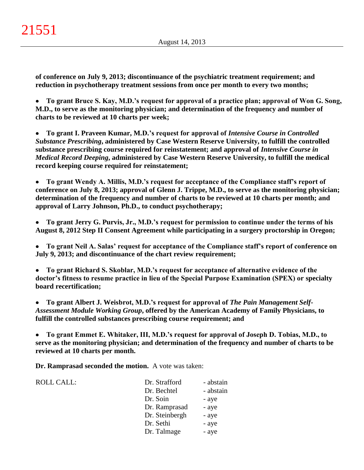**of conference on July 9, 2013; discontinuance of the psychiatric treatment requirement; and reduction in psychotherapy treatment sessions from once per month to every two months;**

**To grant Bruce S. Kay, M.D.'s request for approval of a practice plan; approval of Won G. Song,**   $\bullet$ **M.D., to serve as the monitoring physician; and determination of the frequency and number of charts to be reviewed at 10 charts per week;**

**To grant I. Praveen Kumar, M.D.'s request for approval of** *Intensive Course in Controlled*   $\bullet$ *Substance Prescribing***, administered by Case Western Reserve University, to fulfill the controlled substance prescribing course required for reinstatement; and approval of** *Intensive Course in Medical Record Deeping***, administered by Case Western Reserve University, to fulfill the medical record keeping course required for reinstatement;**

**To grant Wendy A. Millis, M.D.'s request for acceptance of the Compliance staff's report of**   $\bullet$ **conference on July 8, 2013; approval of Glenn J. Trippe, M.D., to serve as the monitoring physician; determination of the frequency and number of charts to be reviewed at 10 charts per month; and approval of Larry Johnson, Ph.D., to conduct psychotherapy;**

 $\bullet$ **To grant Jerry G. Purvis, Jr., M.D.'s request for permission to continue under the terms of his August 8, 2012 Step II Consent Agreement while participating in a surgery proctorship in Oregon;**

**To grant Neil A. Salas' request for acceptance of the Compliance staff's report of conference on**   $\bullet$ **July 9, 2013; and discontinuance of the chart review requirement;**

**To grant Richard S. Skoblar, M.D.'s request for acceptance of alternative evidence of the**   $\bullet$ **doctor's fitness to resume practice in lieu of the Special Purpose Examination (SPEX) or specialty board recertification;**

**To grant Albert J. Weisbrot, M.D.'s request for approval of** *The Pain Management Self-* $\bullet$ *Assessment Module Working Group***, offered by the American Academy of Family Physicians, to fulfill the controlled substances prescribing course requirement; and**

**To grant Emmet E. Whitaker, III, M.D.'s request for approval of Joseph D. Tobias, M.D., to**  $\bullet$ **serve as the monitoring physician; and determination of the frequency and number of charts to be reviewed at 10 charts per month.**

**Dr. Ramprasad seconded the motion.** A vote was taken:

| ROLL CALL: | Dr. Strafford  | - abstain |
|------------|----------------|-----------|
|            | Dr. Bechtel    | - abstain |
|            | Dr. Soin       | - aye     |
|            | Dr. Ramprasad  | - aye     |
|            | Dr. Steinbergh | - aye     |
|            | Dr. Sethi      | - aye     |
|            | Dr. Talmage    | - aye     |
|            |                |           |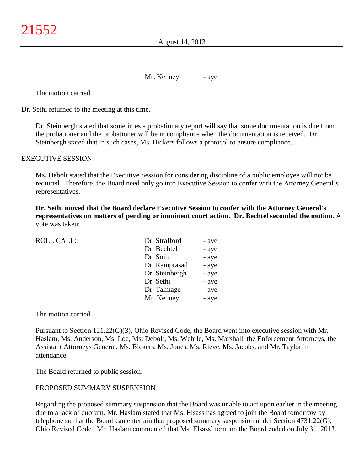August 14, 2013

Mr. Kenney - aye

The motion carried.

Dr. Sethi returned to the meeting at this time.

Dr. Steinbergh stated that sometimes a probationary report will say that some documentation is due from the probationer and the probationer will be in compliance when the documentation is received. Dr. Steinbergh stated that in such cases, Ms. Bickers follows a protocol to ensure compliance.

#### EXECUTIVE SESSION

Ms. Debolt stated that the Executive Session for considering discipline of a public employee will not be required. Therefore, the Board need only go into Executive Session to confer with the Attorney General's representatives.

**Dr. Sethi moved that the Board declare Executive Session to confer with the Attorney General's representatives on matters of pending or imminent court action. Dr. Bechtel seconded the motion.** A vote was taken:

| <b>ROLL CALL:</b> | Dr. Strafford  | - aye |
|-------------------|----------------|-------|
|                   | Dr. Bechtel    | - aye |
|                   | Dr. Soin       | - aye |
|                   | Dr. Ramprasad  | - aye |
|                   | Dr. Steinbergh | - aye |
|                   | Dr. Sethi      | - aye |
|                   | Dr. Talmage    | - aye |
|                   | Mr. Kenney     | - aye |
|                   |                |       |

The motion carried.

Pursuant to Section 121.22(G)(3), Ohio Revised Code, the Board went into executive session with Mr. Haslam, Ms. Anderson, Ms. Loe, Ms. Debolt, Ms. Wehrle, Ms. Marshall, the Enforcement Attorneys, the Assistant Attorneys General, Ms. Bickers, Ms. Jones, Ms. Rieve, Ms. Jacobs, and Mr. Taylor in attendance.

The Board returned to public session.

#### PROPOSED SUMMARY SUSPENSION

Regarding the proposed summary suspension that the Board was unable to act upon earlier in the meeting due to a lack of quorum, Mr. Haslam stated that Ms. Elsass has agreed to join the Board tomorrow by telephone so that the Board can entertain that proposed summary suspension under Section 4731.22(G), Ohio Revised Code. Mr. Haslam commented that Ms. Elsass' term on the Board ended on July 31, 2013,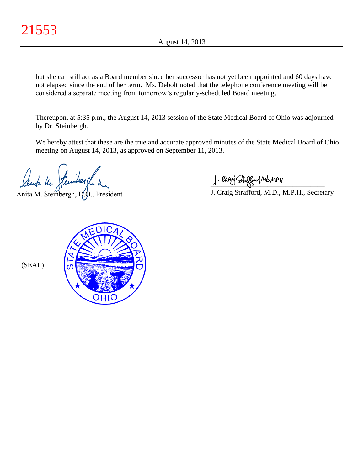but she can still act as a Board member since her successor has not yet been appointed and 60 days have not elapsed since the end of her term. Ms. Debolt noted that the telephone conference meeting will be considered a separate meeting from tomorrow's regularly-scheduled Board meeting.

Thereupon, at 5:35 p.m., the August 14, 2013 session of the State Medical Board of Ohio was adjourned by Dr. Steinbergh.

We hereby attest that these are the true and accurate approved minutes of the State Medical Board of Ohio meeting on August 14, 2013, as approved on September 11, 2013.

 $x$ empa nu. panda panda

Anita M. Steinbergh,  $D_x$ , President

 $\frac{1}{2}$  and since  $\frac{1}{2}$ 

J. Craig Strafford, M.D., M.P.H., Secretary



(SEAL)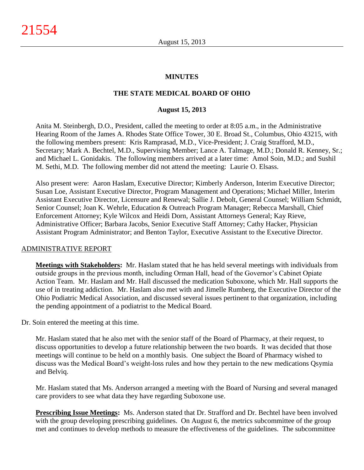#### **MINUTES**

#### **THE STATE MEDICAL BOARD OF OHIO**

#### **August 15, 2013**

Anita M. Steinbergh, D.O., President, called the meeting to order at 8:05 a.m., in the Administrative Hearing Room of the James A. Rhodes State Office Tower, 30 E. Broad St., Columbus, Ohio 43215, with the following members present: Kris Ramprasad, M.D., Vice-President; J. Craig Strafford, M.D., Secretary; Mark A. Bechtel, M.D., Supervising Member; Lance A. Talmage, M.D.; Donald R. Kenney, Sr.; and Michael L. Gonidakis. The following members arrived at a later time: Amol Soin, M.D.; and Sushil M. Sethi, M.D. The following member did not attend the meeting: Laurie O. Elsass.

Also present were: Aaron Haslam, Executive Director; Kimberly Anderson, Interim Executive Director; Susan Loe, Assistant Executive Director, Program Management and Operations; Michael Miller, Interim Assistant Executive Director, Licensure and Renewal; Sallie J. Debolt, General Counsel; William Schmidt, Senior Counsel; Joan K. Wehrle, Education & Outreach Program Manager; Rebecca Marshall, Chief Enforcement Attorney; Kyle Wilcox and Heidi Dorn, Assistant Attorneys General; Kay Rieve, Administrative Officer; Barbara Jacobs, Senior Executive Staff Attorney; Cathy Hacker, Physician Assistant Program Administrator; and Benton Taylor, Executive Assistant to the Executive Director.

#### ADMINISTRATIVE REPORT

**Meetings with Stakeholders:** Mr. Haslam stated that he has held several meetings with individuals from outside groups in the previous month, including Orman Hall, head of the Governor's Cabinet Opiate Action Team. Mr. Haslam and Mr. Hall discussed the medication Suboxone, which Mr. Hall supports the use of in treating addiction. Mr. Haslam also met with and Jimelle Rumberg, the Executive Director of the Ohio Podiatric Medical Association, and discussed several issues pertinent to that organization, including the pending appointment of a podiatrist to the Medical Board.

Dr. Soin entered the meeting at this time.

Mr. Haslam stated that he also met with the senior staff of the Board of Pharmacy, at their request, to discuss opportunities to develop a future relationship between the two boards. It was decided that those meetings will continue to be held on a monthly basis. One subject the Board of Pharmacy wished to discuss was the Medical Board's weight-loss rules and how they pertain to the new medications Qsymia and Belviq.

Mr. Haslam stated that Ms. Anderson arranged a meeting with the Board of Nursing and several managed care providers to see what data they have regarding Suboxone use.

**Prescribing Issue Meetings:** Ms. Anderson stated that Dr. Strafford and Dr. Bechtel have been involved with the group developing prescribing guidelines. On August 6, the metrics subcommittee of the group met and continues to develop methods to measure the effectiveness of the guidelines. The subcommittee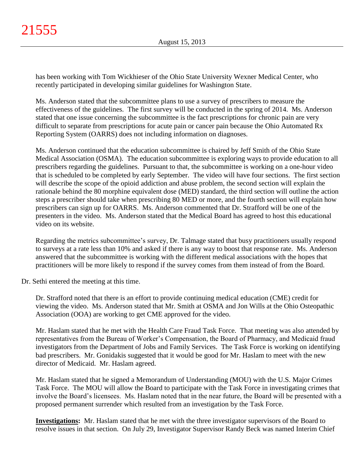has been working with Tom Wickhieser of the Ohio State University Wexner Medical Center, who recently participated in developing similar guidelines for Washington State.

Ms. Anderson stated that the subcommittee plans to use a survey of prescribers to measure the effectiveness of the guidelines. The first survey will be conducted in the spring of 2014. Ms. Anderson stated that one issue concerning the subcommittee is the fact prescriptions for chronic pain are very difficult to separate from prescriptions for acute pain or cancer pain because the Ohio Automated Rx Reporting System (OARRS) does not including information on diagnoses.

Ms. Anderson continued that the education subcommittee is chaired by Jeff Smith of the Ohio State Medical Association (OSMA). The education subcommittee is exploring ways to provide education to all prescribers regarding the guidelines. Pursuant to that, the subcommittee is working on a one-hour video that is scheduled to be completed by early September. The video will have four sections. The first section will describe the scope of the opioid addiction and abuse problem, the second section will explain the rationale behind the 80 morphine equivalent dose (MED) standard, the third section will outline the action steps a prescriber should take when prescribing 80 MED or more, and the fourth section will explain how prescribers can sign up for OARRS. Ms. Anderson commented that Dr. Strafford will be one of the presenters in the video. Ms. Anderson stated that the Medical Board has agreed to host this educational video on its website.

Regarding the metrics subcommittee's survey, Dr. Talmage stated that busy practitioners usually respond to surveys at a rate less than 10% and asked if there is any way to boost that response rate. Ms. Anderson answered that the subcommittee is working with the different medical associations with the hopes that practitioners will be more likely to respond if the survey comes from them instead of from the Board.

Dr. Sethi entered the meeting at this time.

Dr. Strafford noted that there is an effort to provide continuing medical education (CME) credit for viewing the video. Ms. Anderson stated that Mr. Smith at OSMA and Jon Wills at the Ohio Osteopathic Association (OOA) are working to get CME approved for the video.

Mr. Haslam stated that he met with the Health Care Fraud Task Force. That meeting was also attended by representatives from the Bureau of Worker's Compensation, the Board of Pharmacy, and Medicaid fraud investigators from the Department of Jobs and Family Services. The Task Force is working on identifying bad prescribers. Mr. Gonidakis suggested that it would be good for Mr. Haslam to meet with the new director of Medicaid. Mr. Haslam agreed.

Mr. Haslam stated that he signed a Memorandum of Understanding (MOU) with the U.S. Major Crimes Task Force. The MOU will allow the Board to participate with the Task Force in investigating crimes that involve the Board's licensees. Ms. Haslam noted that in the near future, the Board will be presented with a proposed permanent surrender which resulted from an investigation by the Task Force.

**Investigations:** Mr. Haslam stated that he met with the three investigator supervisors of the Board to resolve issues in that section. On July 29, Investigator Supervisor Randy Beck was named Interim Chief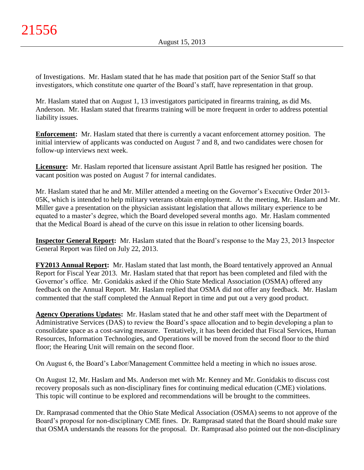of Investigations. Mr. Haslam stated that he has made that position part of the Senior Staff so that investigators, which constitute one quarter of the Board's staff, have representation in that group.

Mr. Haslam stated that on August 1, 13 investigators participated in firearms training, as did Ms. Anderson. Mr. Haslam stated that firearms training will be more frequent in order to address potential liability issues.

**Enforcement:** Mr. Haslam stated that there is currently a vacant enforcement attorney position. The initial interview of applicants was conducted on August 7 and 8, and two candidates were chosen for follow-up interviews next week.

**Licensure:** Mr. Haslam reported that licensure assistant April Battle has resigned her position. The vacant position was posted on August 7 for internal candidates.

Mr. Haslam stated that he and Mr. Miller attended a meeting on the Governor's Executive Order 2013- 05K, which is intended to help military veterans obtain employment. At the meeting, Mr. Haslam and Mr. Miller gave a presentation on the physician assistant legislation that allows military experience to be equated to a master's degree, which the Board developed several months ago. Mr. Haslam commented that the Medical Board is ahead of the curve on this issue in relation to other licensing boards.

**Inspector General Report:** Mr. Haslam stated that the Board's response to the May 23, 2013 Inspector General Report was filed on July 22, 2013.

**FY2013 Annual Report:** Mr. Haslam stated that last month, the Board tentatively approved an Annual Report for Fiscal Year 2013. Mr. Haslam stated that that report has been completed and filed with the Governor's office. Mr. Gonidakis asked if the Ohio State Medical Association (OSMA) offered any feedback on the Annual Report. Mr. Haslam replied that OSMA did not offer any feedback. Mr. Haslam commented that the staff completed the Annual Report in time and put out a very good product.

**Agency Operations Updates:** Mr. Haslam stated that he and other staff meet with the Department of Administrative Services (DAS) to review the Board's space allocation and to begin developing a plan to consolidate space as a cost-saving measure. Tentatively, it has been decided that Fiscal Services, Human Resources, Information Technologies, and Operations will be moved from the second floor to the third floor; the Hearing Unit will remain on the second floor.

On August 6, the Board's Labor/Management Committee held a meeting in which no issues arose.

On August 12, Mr. Haslam and Ms. Anderson met with Mr. Kenney and Mr. Gonidakis to discuss cost recovery proposals such as non-disciplinary fines for continuing medical education (CME) violations. This topic will continue to be explored and recommendations will be brought to the committees.

Dr. Ramprasad commented that the Ohio State Medical Association (OSMA) seems to not approve of the Board's proposal for non-disciplinary CME fines. Dr. Ramprasad stated that the Board should make sure that OSMA understands the reasons for the proposal. Dr. Ramprasad also pointed out the non-disciplinary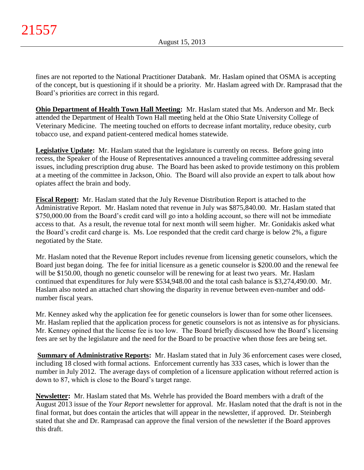fines are not reported to the National Practitioner Databank. Mr. Haslam opined that OSMA is accepting of the concept, but is questioning if it should be a priority. Mr. Haslam agreed with Dr. Ramprasad that the Board's priorities are correct in this regard.

**Ohio Department of Health Town Hall Meeting:** Mr. Haslam stated that Ms. Anderson and Mr. Beck attended the Department of Health Town Hall meeting held at the Ohio State University College of Veterinary Medicine. The meeting touched on efforts to decrease infant mortality, reduce obesity, curb tobacco use, and expand patient-centered medical homes statewide.

**Legislative Update:** Mr. Haslam stated that the legislature is currently on recess. Before going into recess, the Speaker of the House of Representatives announced a traveling committee addressing several issues, including prescription drug abuse. The Board has been asked to provide testimony on this problem at a meeting of the committee in Jackson, Ohio. The Board will also provide an expert to talk about how opiates affect the brain and body.

**Fiscal Report:** Mr. Haslam stated that the July Revenue Distribution Report is attached to the Administrative Report. Mr. Haslam noted that revenue in July was \$875,840.00. Mr. Haslam stated that \$750,000.00 from the Board's credit card will go into a holding account, so there will not be immediate access to that. As a result, the revenue total for next month will seem higher. Mr. Gonidakis asked what the Board's credit card charge is. Ms. Loe responded that the credit card charge is below 2%, a figure negotiated by the State.

Mr. Haslam noted that the Revenue Report includes revenue from licensing genetic counselors, which the Board just began doing. The fee for initial licensure as a genetic counselor is \$200.00 and the renewal fee will be \$150.00, though no genetic counselor will be renewing for at least two years. Mr. Haslam continued that expenditures for July were \$534,948.00 and the total cash balance is \$3,274,490.00. Mr. Haslam also noted an attached chart showing the disparity in revenue between even-number and oddnumber fiscal years.

Mr. Kenney asked why the application fee for genetic counselors is lower than for some other licensees. Mr. Haslam replied that the application process for genetic counselors is not as intensive as for physicians. Mr. Kenney opined that the license fee is too low. The Board briefly discussed how the Board's licensing fees are set by the legislature and the need for the Board to be proactive when those fees are being set.

**Summary of Administrative Reports:** Mr. Haslam stated that in July 36 enforcement cases were closed, including 18 closed with formal actions. Enforcement currently has 333 cases, which is lower than the number in July 2012. The average days of completion of a licensure application without referred action is down to 87, which is close to the Board's target range.

**Newsletter:** Mr. Haslam stated that Ms. Wehrle has provided the Board members with a draft of the August 2013 issue of the *Your Report* newsletter for approval. Mr. Haslam noted that the draft is not in the final format, but does contain the articles that will appear in the newsletter, if approved. Dr. Steinbergh stated that she and Dr. Ramprasad can approve the final version of the newsletter if the Board approves this draft.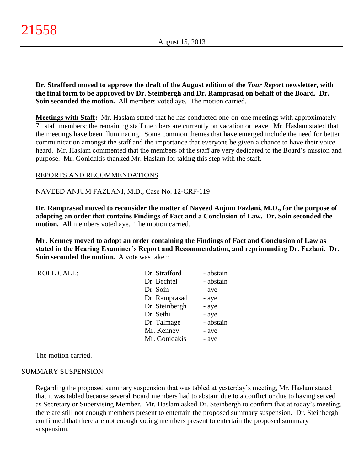**Dr. Strafford moved to approve the draft of the August edition of the** *Your Report* **newsletter, with the final form to be approved by Dr. Steinbergh and Dr. Ramprasad on behalf of the Board. Dr. Soin seconded the motion.** All members voted aye. The motion carried.

**Meetings with Staff:** Mr. Haslam stated that he has conducted one-on-one meetings with approximately 71 staff members; the remaining staff members are currently on vacation or leave. Mr. Haslam stated that the meetings have been illuminating. Some common themes that have emerged include the need for better communication amongst the staff and the importance that everyone be given a chance to have their voice heard. Mr. Haslam commented that the members of the staff are very dedicated to the Board's mission and purpose. Mr. Gonidakis thanked Mr. Haslam for taking this step with the staff.

#### REPORTS AND RECOMMENDATIONS

#### NAVEED ANJUM FAZLANI, M.D., Case No. 12-CRF-119

**Dr. Ramprasad moved to reconsider the matter of Naveed Anjum Fazlani, M.D., for the purpose of adopting an order that contains Findings of Fact and a Conclusion of Law. Dr. Soin seconded the motion.** All members voted aye. The motion carried.

**Mr. Kenney moved to adopt an order containing the Findings of Fact and Conclusion of Law as stated in the Hearing Examiner's Report and Recommendation, and reprimanding Dr. Fazlani. Dr. Soin seconded the motion.** A vote was taken:

| <b>ROLL CALL:</b> | Dr. Strafford  | - abstain |
|-------------------|----------------|-----------|
|                   | Dr. Bechtel    | - abstain |
|                   | Dr. Soin       | - aye     |
|                   | Dr. Ramprasad  | - aye     |
|                   | Dr. Steinbergh | - aye     |
|                   | Dr. Sethi      | - aye     |
|                   | Dr. Talmage    | - abstain |
|                   | Mr. Kenney     | - aye     |
|                   | Mr. Gonidakis  | - aye     |

The motion carried.

#### SUMMARY SUSPENSION

Regarding the proposed summary suspension that was tabled at yesterday's meeting, Mr. Haslam stated that it was tabled because several Board members had to abstain due to a conflict or due to having served as Secretary or Supervising Member. Mr. Haslam asked Dr. Steinbergh to confirm that at today's meeting, there are still not enough members present to entertain the proposed summary suspension. Dr. Steinbergh confirmed that there are not enough voting members present to entertain the proposed summary suspension.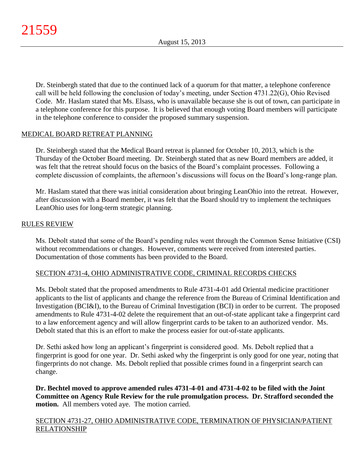Dr. Steinbergh stated that due to the continued lack of a quorum for that matter, a telephone conference call will be held following the conclusion of today's meeting, under Section 4731.22(G), Ohio Revised Code. Mr. Haslam stated that Ms. Elsass, who is unavailable because she is out of town, can participate in a telephone conference for this purpose. It is believed that enough voting Board members will participate in the telephone conference to consider the proposed summary suspension.

# MEDICAL BOARD RETREAT PLANNING

Dr. Steinbergh stated that the Medical Board retreat is planned for October 10, 2013, which is the Thursday of the October Board meeting. Dr. Steinbergh stated that as new Board members are added, it was felt that the retreat should focus on the basics of the Board's complaint processes. Following a complete discussion of complaints, the afternoon's discussions will focus on the Board's long-range plan.

Mr. Haslam stated that there was initial consideration about bringing LeanOhio into the retreat. However, after discussion with a Board member, it was felt that the Board should try to implement the techniques LeanOhio uses for long-term strategic planning.

# RULES REVIEW

Ms. Debolt stated that some of the Board's pending rules went through the Common Sense Initiative (CSI) without recommendations or changes. However, comments were received from interested parties. Documentation of those comments has been provided to the Board.

# SECTION 4731-4, OHIO ADMINISTRATIVE CODE, CRIMINAL RECORDS CHECKS

Ms. Debolt stated that the proposed amendments to Rule 4731-4-01 add Oriental medicine practitioner applicants to the list of applicants and change the reference from the Bureau of Criminal Identification and Investigation (BCI&I), to the Bureau of Criminal Investigation (BCI) in order to be current. The proposed amendments to Rule 4731-4-02 delete the requirement that an out-of-state applicant take a fingerprint card to a law enforcement agency and will allow fingerprint cards to be taken to an authorized vendor. Ms. Debolt stated that this is an effort to make the process easier for out-of-state applicants.

Dr. Sethi asked how long an applicant's fingerprint is considered good. Ms. Debolt replied that a fingerprint is good for one year. Dr. Sethi asked why the fingerprint is only good for one year, noting that fingerprints do not change. Ms. Debolt replied that possible crimes found in a fingerprint search can change.

**Dr. Bechtel moved to approve amended rules 4731-4-01 and 4731-4-02 to be filed with the Joint Committee on Agency Rule Review for the rule promulgation process. Dr. Strafford seconded the motion.** All members voted aye. The motion carried.

# SECTION 4731-27, OHIO ADMINISTRATIVE CODE, TERMINATION OF PHYSICIAN/PATIENT RELATIONSHIP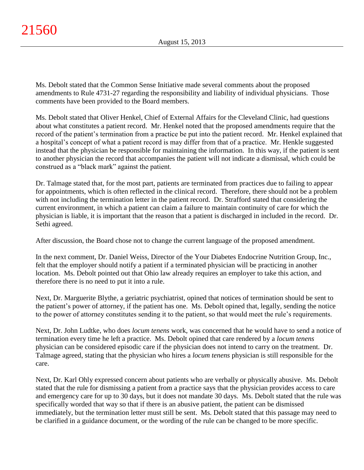Ms. Debolt stated that the Common Sense Initiative made several comments about the proposed amendments to Rule 4731-27 regarding the responsibility and liability of individual physicians. Those comments have been provided to the Board members.

Ms. Debolt stated that Oliver Henkel, Chief of External Affairs for the Cleveland Clinic, had questions about what constitutes a patient record. Mr. Henkel noted that the proposed amendments require that the record of the patient's termination from a practice be put into the patient record. Mr. Henkel explained that a hospital's concept of what a patient record is may differ from that of a practice. Mr. Henkle suggested instead that the physician be responsible for maintaining the information. In this way, if the patient is sent to another physician the record that accompanies the patient will not indicate a dismissal, which could be construed as a "black mark" against the patient.

Dr. Talmage stated that, for the most part, patients are terminated from practices due to failing to appear for appointments, which is often reflected in the clinical record. Therefore, there should not be a problem with not including the termination letter in the patient record. Dr. Strafford stated that considering the current environment, in which a patient can claim a failure to maintain continuity of care for which the physician is liable, it is important that the reason that a patient is discharged in included in the record. Dr. Sethi agreed.

After discussion, the Board chose not to change the current language of the proposed amendment.

In the next comment, Dr. Daniel Weiss, Director of the Your Diabetes Endocrine Nutrition Group, Inc., felt that the employer should notify a patient if a terminated physician will be practicing in another location. Ms. Debolt pointed out that Ohio law already requires an employer to take this action, and therefore there is no need to put it into a rule.

Next, Dr. Marguerite Blythe, a geriatric psychiatrist, opined that notices of termination should be sent to the patient's power of attorney, if the patient has one. Ms. Debolt opined that, legally, sending the notice to the power of attorney constitutes sending it to the patient, so that would meet the rule's requirements.

Next, Dr. John Ludtke, who does *locum tenens* work, was concerned that he would have to send a notice of termination every time he left a practice. Ms. Debolt opined that care rendered by a *locum tenens* physician can be considered episodic care if the physician does not intend to carry on the treatment. Dr. Talmage agreed, stating that the physician who hires a *locum tenens* physician is still responsible for the care.

Next, Dr. Karl Ohly expressed concern about patients who are verbally or physically abusive. Ms. Debolt stated that the rule for dismissing a patient from a practice says that the physician provides access to care and emergency care for up to 30 days, but it does not mandate 30 days. Ms. Debolt stated that the rule was specifically worded that way so that if there is an abusive patient, the patient can be dismissed immediately, but the termination letter must still be sent. Ms. Debolt stated that this passage may need to be clarified in a guidance document, or the wording of the rule can be changed to be more specific.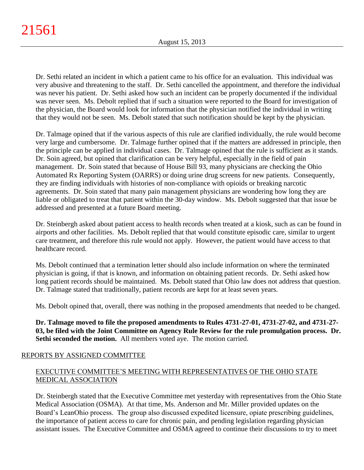Dr. Sethi related an incident in which a patient came to his office for an evaluation. This individual was very abusive and threatening to the staff. Dr. Sethi cancelled the appointment, and therefore the individual was never his patient. Dr. Sethi asked how such an incident can be properly documented if the individual was never seen. Ms. Debolt replied that if such a situation were reported to the Board for investigation of the physician, the Board would look for information that the physician notified the individual in writing that they would not be seen. Ms. Debolt stated that such notification should be kept by the physician.

Dr. Talmage opined that if the various aspects of this rule are clarified individually, the rule would become very large and cumbersome. Dr. Talmage further opined that if the matters are addressed in principle, then the principle can be applied in individual cases. Dr. Talmage opined that the rule is sufficient as it stands. Dr. Soin agreed, but opined that clarification can be very helpful, especially in the field of pain management. Dr. Soin stated that because of House Bill 93, many physicians are checking the Ohio Automated Rx Reporting System (OARRS) or doing urine drug screens for new patients. Consequently, they are finding individuals with histories of non-compliance with opioids or breaking narcotic agreements. Dr. Soin stated that many pain management physicians are wondering how long they are liable or obligated to treat that patient within the 30-day window. Ms. Debolt suggested that that issue be addressed and presented at a future Board meeting.

Dr. Steinbergh asked about patient access to health records when treated at a kiosk, such as can be found in airports and other facilities. Ms. Debolt replied that that would constitute episodic care, similar to urgent care treatment, and therefore this rule would not apply. However, the patient would have access to that healthcare record.

Ms. Debolt continued that a termination letter should also include information on where the terminated physician is going, if that is known, and information on obtaining patient records. Dr. Sethi asked how long patient records should be maintained. Ms. Debolt stated that Ohio law does not address that question. Dr. Talmage stated that traditionally, patient records are kept for at least seven years.

Ms. Debolt opined that, overall, there was nothing in the proposed amendments that needed to be changed.

**Dr. Talmage moved to file the proposed amendments to Rules 4731-27-01, 4731-27-02, and 4731-27- 03, be filed with the Joint Committee on Agency Rule Review for the rule promulgation process. Dr. Sethi seconded the motion.** All members voted aye. The motion carried.

# REPORTS BY ASSIGNED COMMITTEE

# EXECUTIVE COMMITTEE'S MEETING WITH REPRESENTATIVES OF THE OHIO STATE MEDICAL ASSOCIATION

Dr. Steinbergh stated that the Executive Committee met yesterday with representatives from the Ohio State Medical Association (OSMA). At that time, Ms. Anderson and Mr. Miller provided updates on the Board's LeanOhio process. The group also discussed expedited licensure, opiate prescribing guidelines, the importance of patient access to care for chronic pain, and pending legislation regarding physician assistant issues. The Executive Committee and OSMA agreed to continue their discussions to try to meet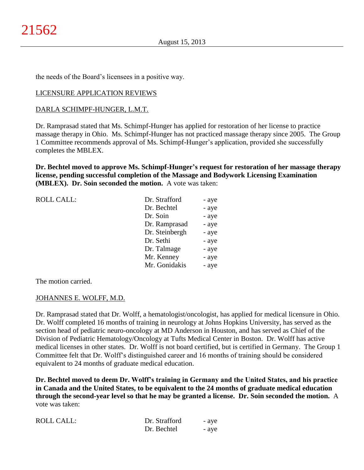the needs of the Board's licensees in a positive way.

#### LICENSURE APPLICATION REVIEWS

#### DARLA SCHIMPF-HUNGER, L.M.T.

Dr. Ramprasad stated that Ms. Schimpf-Hunger has applied for restoration of her license to practice massage therapy in Ohio. Ms. Schimpf-Hunger has not practiced massage therapy since 2005. The Group 1 Committee recommends approval of Ms. Schimpf-Hunger's application, provided she successfully completes the MBLEX.

**Dr. Bechtel moved to approve Ms. Schimpf-Hunger's request for restoration of her massage therapy license, pending successful completion of the Massage and Bodywork Licensing Examination (MBLEX). Dr. Soin seconded the motion.** A vote was taken:

| <b>ROLL CALL:</b> | Dr. Strafford  | - aye |
|-------------------|----------------|-------|
|                   | Dr. Bechtel    | - aye |
|                   | Dr. Soin       | - aye |
|                   | Dr. Ramprasad  | - aye |
|                   | Dr. Steinbergh | - aye |
|                   | Dr. Sethi      | - aye |
|                   | Dr. Talmage    | - aye |
|                   | Mr. Kenney     | - aye |
|                   | Mr. Gonidakis  | - aye |

The motion carried.

#### JOHANNES E. WOLFF, M.D.

Dr. Ramprasad stated that Dr. Wolff, a hematologist/oncologist, has applied for medical licensure in Ohio. Dr. Wolff completed 16 months of training in neurology at Johns Hopkins University, has served as the section head of pediatric neuro-oncology at MD Anderson in Houston, and has served as Chief of the Division of Pediatric Hematology/Oncology at Tufts Medical Center in Boston. Dr. Wolff has active medical licenses in other states. Dr. Wolff is not board certified, but is certified in Germany. The Group 1 Committee felt that Dr. Wolff's distinguished career and 16 months of training should be considered equivalent to 24 months of graduate medical education.

**Dr. Bechtel moved to deem Dr. Wolff's training in Germany and the United States, and his practice in Canada and the United States, to be equivalent to the 24 months of graduate medical education through the second-year level so that he may be granted a license. Dr. Soin seconded the motion.** A vote was taken:

| <b>ROLL CALL:</b> | Dr. Strafford | - aye |
|-------------------|---------------|-------|
|                   | Dr. Bechtel   | - ave |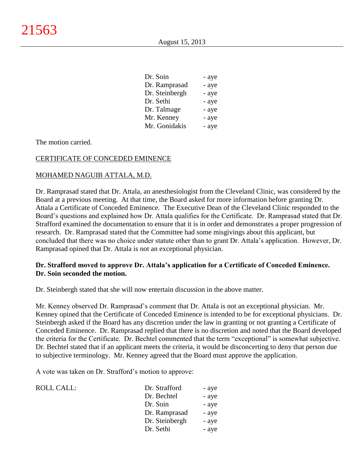| Dr. Soin       | - aye |
|----------------|-------|
| Dr. Ramprasad  | - aye |
| Dr. Steinbergh | - aye |
| Dr. Sethi      | - aye |
| Dr. Talmage    | - aye |
| Mr. Kenney     | - aye |
| Mr. Gonidakis  | - aye |

The motion carried.

# CERTIFICATE OF CONCEDED EMINENCE

#### MOHAMED NAGUIB ATTALA, M.D.

Dr. Ramprasad stated that Dr. Attala, an anesthesiologist from the Cleveland Clinic, was considered by the Board at a previous meeting. At that time, the Board asked for more information before granting Dr. Attala a Certificate of Conceded Eminence. The Executive Dean of the Cleveland Clinic responded to the Board's questions and explained how Dr. Attala qualifies for the Certificate. Dr. Ramprasad stated that Dr. Strafford examined the documentation to ensure that it is in order and demonstrates a proper progression of research. Dr. Ramprasad stated that the Committee had some misgivings about this applicant, but concluded that there was no choice under statute other than to grant Dr. Attala's application. However, Dr. Ramprasad opined that Dr. Attala is not an exceptional physician.

#### **Dr. Strafford moved to approve Dr. Attala's application for a Certificate of Conceded Eminence. Dr. Soin seconded the motion.**

Dr. Steinbergh stated that she will now entertain discussion in the above matter.

Mr. Kenney observed Dr. Ramprasad's comment that Dr. Attala is not an exceptional physician. Mr. Kenney opined that the Certificate of Conceded Eminence is intended to be for exceptional physicians. Dr. Steinbergh asked if the Board has any discretion under the law in granting or not granting a Certificate of Conceded Eminence. Dr. Ramprasad replied that there is no discretion and noted that the Board developed the criteria for the Certificate. Dr. Bechtel commented that the term "exceptional" is somewhat subjective. Dr. Bechtel stated that if an applicant meets the criteria, it would be disconcerting to deny that person due to subjective terminology. Mr. Kenney agreed that the Board must approve the application.

A vote was taken on Dr. Strafford's motion to approve:

| ROLL CALL: | Dr. Strafford  | - aye |
|------------|----------------|-------|
|            | Dr. Bechtel    | - aye |
|            | Dr. Soin       | - aye |
|            | Dr. Ramprasad  | - aye |
|            | Dr. Steinbergh | - aye |
|            | Dr. Sethi      | - aye |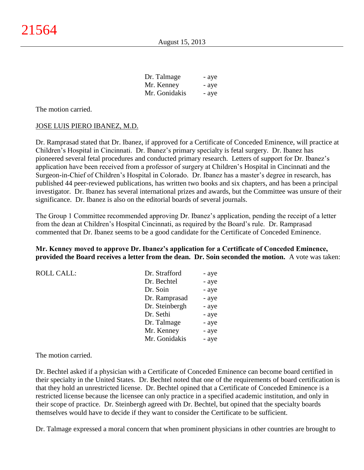| Dr. Talmage   | - aye |
|---------------|-------|
| Mr. Kenney    | - aye |
| Mr. Gonidakis | - aye |

The motion carried.

#### JOSE LUIS PIERO IBANEZ, M.D.

Dr. Ramprasad stated that Dr. Ibanez, if approved for a Certificate of Conceded Eminence, will practice at Children's Hospital in Cincinnati. Dr. Ibanez's primary specialty is fetal surgery. Dr. Ibanez has pioneered several fetal procedures and conducted primary research. Letters of support for Dr. Ibanez's application have been received from a professor of surgery at Children's Hospital in Cincinnati and the Surgeon-in-Chief of Children's Hospital in Colorado. Dr. Ibanez has a master's degree in research, has published 44 peer-reviewed publications, has written two books and six chapters, and has been a principal investigator. Dr. Ibanez has several international prizes and awards, but the Committee was unsure of their significance. Dr. Ibanez is also on the editorial boards of several journals.

The Group 1 Committee recommended approving Dr. Ibanez's application, pending the receipt of a letter from the dean at Children's Hospital Cincinnati, as required by the Board's rule. Dr. Ramprasad commented that Dr. Ibanez seems to be a good candidate for the Certificate of Conceded Eminence.

#### **Mr. Kenney moved to approve Dr. Ibanez's application for a Certificate of Conceded Eminence, provided the Board receives a letter from the dean. Dr. Soin seconded the motion.** A vote was taken:

| Dr. Strafford  | - aye |
|----------------|-------|
| Dr. Bechtel    | - aye |
| Dr. Soin       | - aye |
| Dr. Ramprasad  | - aye |
| Dr. Steinbergh | - aye |
| Dr. Sethi      | - aye |
| Dr. Talmage    | - aye |
| Mr. Kenney     | - aye |
| Mr. Gonidakis  | - aye |
|                |       |

The motion carried.

Dr. Bechtel asked if a physician with a Certificate of Conceded Eminence can become board certified in their specialty in the United States. Dr. Bechtel noted that one of the requirements of board certification is that they hold an unrestricted license. Dr. Bechtel opined that a Certificate of Conceded Eminence is a restricted license because the licensee can only practice in a specified academic institution, and only in their scope of practice. Dr. Steinbergh agreed with Dr. Bechtel, but opined that the specialty boards themselves would have to decide if they want to consider the Certificate to be sufficient.

Dr. Talmage expressed a moral concern that when prominent physicians in other countries are brought to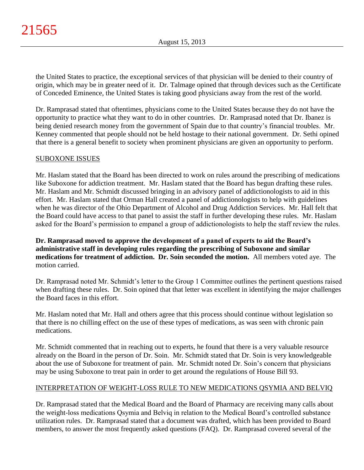the United States to practice, the exceptional services of that physician will be denied to their country of origin, which may be in greater need of it. Dr. Talmage opined that through devices such as the Certificate of Conceded Eminence, the United States is taking good physicians away from the rest of the world.

Dr. Ramprasad stated that oftentimes, physicians come to the United States because they do not have the opportunity to practice what they want to do in other countries. Dr. Ramprasad noted that Dr. Ibanez is being denied research money from the government of Spain due to that country's financial troubles. Mr. Kenney commented that people should not be held hostage to their national government. Dr. Sethi opined that there is a general benefit to society when prominent physicians are given an opportunity to perform.

# SUBOXONE ISSUES

Mr. Haslam stated that the Board has been directed to work on rules around the prescribing of medications like Suboxone for addiction treatment. Mr. Haslam stated that the Board has begun drafting these rules. Mr. Haslam and Mr. Schmidt discussed bringing in an advisory panel of addictionologists to aid in this effort. Mr. Haslam stated that Orman Hall created a panel of addictionologists to help with guidelines when he was director of the Ohio Department of Alcohol and Drug Addiction Services. Mr. Hall felt that the Board could have access to that panel to assist the staff in further developing these rules. Mr. Haslam asked for the Board's permission to empanel a group of addictionologists to help the staff review the rules.

**Dr. Ramprasad moved to approve the development of a panel of experts to aid the Board's administrative staff in developing rules regarding the prescribing of Suboxone and similar medications for treatment of addiction. Dr. Soin seconded the motion.** All members voted aye. The motion carried.

Dr. Ramprasad noted Mr. Schmidt's letter to the Group 1 Committee outlines the pertinent questions raised when drafting these rules. Dr. Soin opined that that letter was excellent in identifying the major challenges the Board faces in this effort.

Mr. Haslam noted that Mr. Hall and others agree that this process should continue without legislation so that there is no chilling effect on the use of these types of medications, as was seen with chronic pain medications.

Mr. Schmidt commented that in reaching out to experts, he found that there is a very valuable resource already on the Board in the person of Dr. Soin. Mr. Schmidt stated that Dr. Soin is very knowledgeable about the use of Suboxone for treatment of pain. Mr. Schmidt noted Dr. Soin's concern that physicians may be using Suboxone to treat pain in order to get around the regulations of House Bill 93.

# INTERPRETATION OF WEIGHT-LOSS RULE TO NEW MEDICATIONS QSYMIA AND BELVIQ

Dr. Ramprasad stated that the Medical Board and the Board of Pharmacy are receiving many calls about the weight-loss medications Qsymia and Belviq in relation to the Medical Board's controlled substance utilization rules. Dr. Ramprasad stated that a document was drafted, which has been provided to Board members, to answer the most frequently asked questions (FAQ). Dr. Ramprasad covered several of the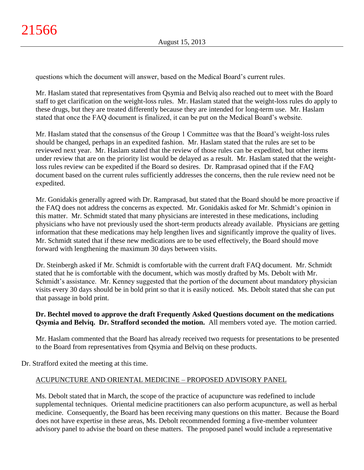questions which the document will answer, based on the Medical Board's current rules.

Mr. Haslam stated that representatives from Qsymia and Belviq also reached out to meet with the Board staff to get clarification on the weight-loss rules. Mr. Haslam stated that the weight-loss rules do apply to these drugs, but they are treated differently because they are intended for long-term use. Mr. Haslam stated that once the FAQ document is finalized, it can be put on the Medical Board's website.

Mr. Haslam stated that the consensus of the Group 1 Committee was that the Board's weight-loss rules should be changed, perhaps in an expedited fashion. Mr. Haslam stated that the rules are set to be reviewed next year. Mr. Haslam stated that the review of those rules can be expedited, but other items under review that are on the priority list would be delayed as a result. Mr. Haslam stated that the weightloss rules review can be expedited if the Board so desires. Dr. Ramprasad opined that if the FAQ document based on the current rules sufficiently addresses the concerns, then the rule review need not be expedited.

Mr. Gonidakis generally agreed with Dr. Ramprasad, but stated that the Board should be more proactive if the FAQ does not address the concerns as expected. Mr. Gonidakis asked for Mr. Schmidt's opinion in this matter. Mr. Schmidt stated that many physicians are interested in these medications, including physicians who have not previously used the short-term products already available. Physicians are getting information that these medications may help lengthen lives and significantly improve the quality of lives. Mr. Schmidt stated that if these new medications are to be used effectively, the Board should move forward with lengthening the maximum 30 days between visits.

Dr. Steinbergh asked if Mr. Schmidt is comfortable with the current draft FAQ document. Mr. Schmidt stated that he is comfortable with the document, which was mostly drafted by Ms. Debolt with Mr. Schmidt's assistance. Mr. Kenney suggested that the portion of the document about mandatory physician visits every 30 days should be in bold print so that it is easily noticed. Ms. Debolt stated that she can put that passage in bold print.

# **Dr. Bechtel moved to approve the draft Frequently Asked Questions document on the medications Qsymia and Belviq. Dr. Strafford seconded the motion.** All members voted aye. The motion carried.

Mr. Haslam commented that the Board has already received two requests for presentations to be presented to the Board from representatives from Qsymia and Belviq on these products.

Dr. Strafford exited the meeting at this time.

# ACUPUNCTURE AND ORIENTAL MEDICINE – PROPOSED ADVISORY PANEL

Ms. Debolt stated that in March, the scope of the practice of acupuncture was redefined to include supplemental techniques. Oriental medicine practitioners can also perform acupuncture, as well as herbal medicine. Consequently, the Board has been receiving many questions on this matter. Because the Board does not have expertise in these areas, Ms. Debolt recommended forming a five-member volunteer advisory panel to advise the board on these matters. The proposed panel would include a representative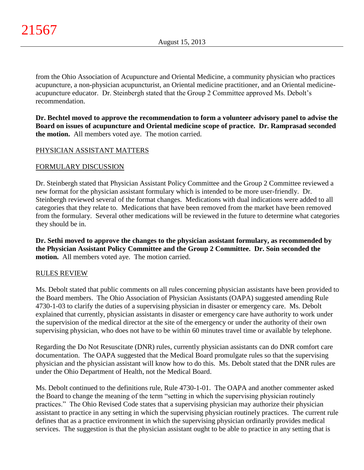from the Ohio Association of Acupuncture and Oriental Medicine, a community physician who practices acupuncture, a non-physician acupuncturist, an Oriental medicine practitioner, and an Oriental medicineacupuncture educator. Dr. Steinbergh stated that the Group 2 Committee approved Ms. Debolt's recommendation.

**Dr. Bechtel moved to approve the recommendation to form a volunteer advisory panel to advise the Board on issues of acupuncture and Oriental medicine scope of practice. Dr. Ramprasad seconded the motion.** All members voted aye. The motion carried.

# PHYSICIAN ASSISTANT MATTERS

# FORMULARY DISCUSSION

Dr. Steinbergh stated that Physician Assistant Policy Committee and the Group 2 Committee reviewed a new format for the physician assistant formulary which is intended to be more user-friendly. Dr. Steinbergh reviewed several of the format changes. Medications with dual indications were added to all categories that they relate to. Medications that have been removed from the market have been removed from the formulary. Several other medications will be reviewed in the future to determine what categories they should be in.

**Dr. Sethi moved to approve the changes to the physician assistant formulary, as recommended by the Physician Assistant Policy Committee and the Group 2 Committee. Dr. Soin seconded the motion.** All members voted aye. The motion carried.

#### RULES REVIEW

Ms. Debolt stated that public comments on all rules concerning physician assistants have been provided to the Board members. The Ohio Association of Physician Assistants (OAPA) suggested amending Rule 4730-1-03 to clarify the duties of a supervising physician in disaster or emergency care. Ms. Debolt explained that currently, physician assistants in disaster or emergency care have authority to work under the supervision of the medical director at the site of the emergency or under the authority of their own supervising physician, who does not have to be within 60 minutes travel time or available by telephone.

Regarding the Do Not Resuscitate (DNR) rules, currently physician assistants can do DNR comfort care documentation. The OAPA suggested that the Medical Board promulgate rules so that the supervising physician and the physician assistant will know how to do this. Ms. Debolt stated that the DNR rules are under the Ohio Department of Health, not the Medical Board.

Ms. Debolt continued to the definitions rule, Rule 4730-1-01. The OAPA and another commenter asked the Board to change the meaning of the term "setting in which the supervising physician routinely practices." The Ohio Revised Code states that a supervising physician may authorize their physician assistant to practice in any setting in which the supervising physician routinely practices. The current rule defines that as a practice environment in which the supervising physician ordinarily provides medical services. The suggestion is that the physician assistant ought to be able to practice in any setting that is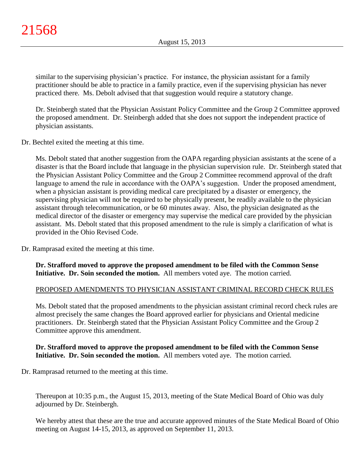similar to the supervising physician's practice. For instance, the physician assistant for a family practitioner should be able to practice in a family practice, even if the supervising physician has never practiced there. Ms. Debolt advised that that suggestion would require a statutory change.

Dr. Steinbergh stated that the Physician Assistant Policy Committee and the Group 2 Committee approved the proposed amendment. Dr. Steinbergh added that she does not support the independent practice of physician assistants.

Dr. Bechtel exited the meeting at this time.

Ms. Debolt stated that another suggestion from the OAPA regarding physician assistants at the scene of a disaster is that the Board include that language in the physician supervision rule. Dr. Steinbergh stated that the Physician Assistant Policy Committee and the Group 2 Committee recommend approval of the draft language to amend the rule in accordance with the OAPA's suggestion. Under the proposed amendment, when a physician assistant is providing medical care precipitated by a disaster or emergency, the supervising physician will not be required to be physically present, be readily available to the physician assistant through telecommunication, or be 60 minutes away. Also, the physician designated as the medical director of the disaster or emergency may supervise the medical care provided by the physician assistant. Ms. Debolt stated that this proposed amendment to the rule is simply a clarification of what is provided in the Ohio Revised Code.

Dr. Ramprasad exited the meeting at this time.

**Dr. Strafford moved to approve the proposed amendment to be filed with the Common Sense Initiative. Dr. Soin seconded the motion.** All members voted aye. The motion carried.

# PROPOSED AMENDMENTS TO PHYSICIAN ASSISTANT CRIMINAL RECORD CHECK RULES

Ms. Debolt stated that the proposed amendments to the physician assistant criminal record check rules are almost precisely the same changes the Board approved earlier for physicians and Oriental medicine practitioners. Dr. Steinbergh stated that the Physician Assistant Policy Committee and the Group 2 Committee approve this amendment.

#### **Dr. Strafford moved to approve the proposed amendment to be filed with the Common Sense Initiative. Dr. Soin seconded the motion.** All members voted aye. The motion carried.

Dr. Ramprasad returned to the meeting at this time.

Thereupon at 10:35 p.m., the August 15, 2013, meeting of the State Medical Board of Ohio was duly adjourned by Dr. Steinbergh.

We hereby attest that these are the true and accurate approved minutes of the State Medical Board of Ohio meeting on August 14-15, 2013, as approved on September 11, 2013.